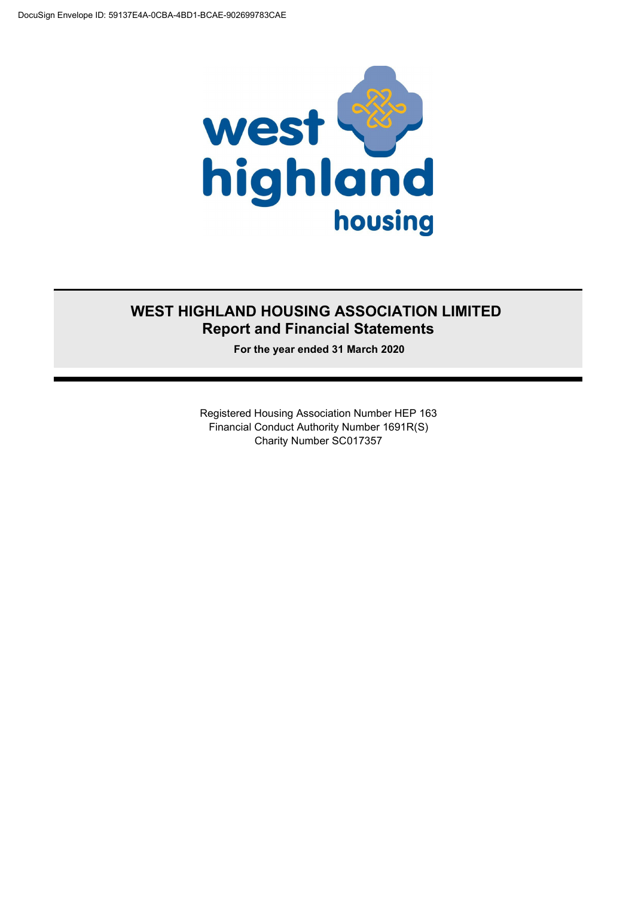

### **WEST HIGHLAND HOUSING ASSOCIATION LIMITED Report and Financial Statements**

**For the year ended 31 March 2020**

Registered Housing Association Number HEP 163 Financial Conduct Authority Number 1691R(S) Charity Number SC017357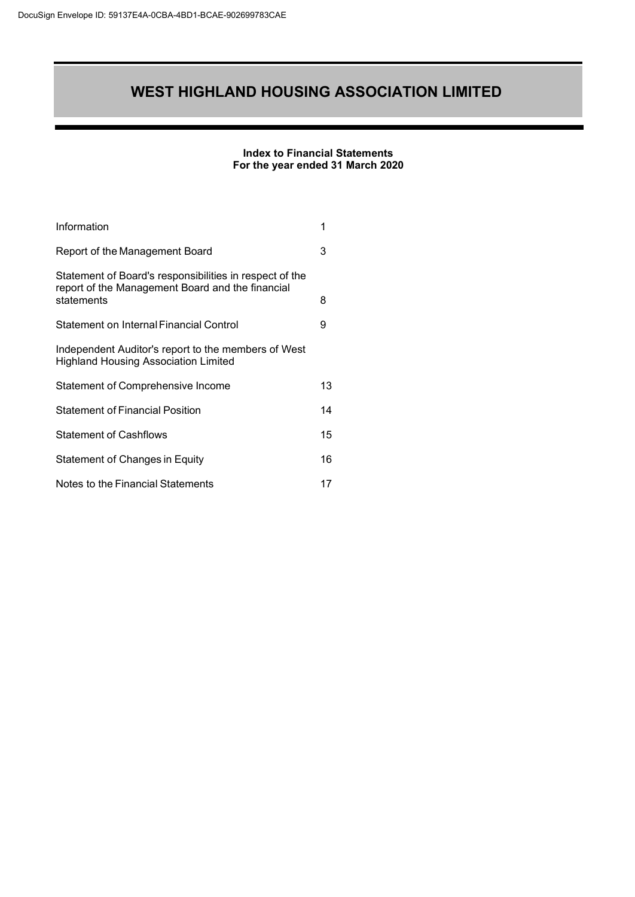#### **Index to Financial Statements For the year ended 31 March 2020**

| Information                                                                                                               | 1  |
|---------------------------------------------------------------------------------------------------------------------------|----|
| Report of the Management Board                                                                                            | 3  |
| Statement of Board's responsibilities in respect of the<br>report of the Management Board and the financial<br>statements | 8  |
| Statement on Internal Financial Control                                                                                   | 9  |
| Independent Auditor's report to the members of West<br><b>Highland Housing Association Limited</b>                        |    |
| Statement of Comprehensive Income                                                                                         | 13 |
| <b>Statement of Financial Position</b>                                                                                    | 14 |
| <b>Statement of Cashflows</b>                                                                                             | 15 |
| Statement of Changes in Equity                                                                                            | 16 |
| Notes to the Financial Statements                                                                                         | 17 |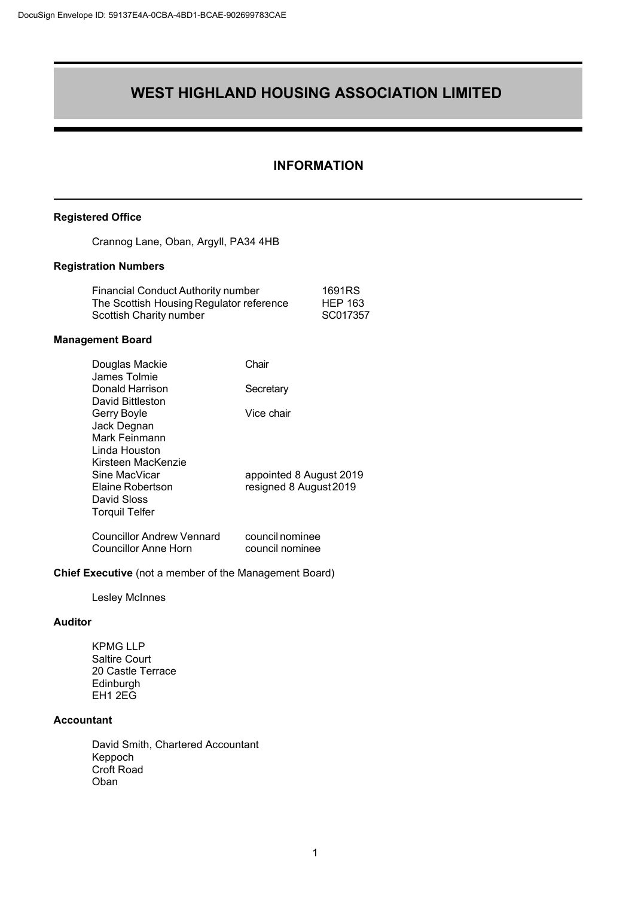#### <span id="page-2-0"></span>**INFORMATION**

#### **Registered Office**

Crannog Lane, Oban, Argyll, PA34 4HB

#### **Registration Numbers**

| <b>Financial Conduct Authority number</b> | 1691RS         |
|-------------------------------------------|----------------|
| The Scottish Housing Regulator reference  | <b>HEP 163</b> |
| Scottish Charity number                   | SC017357       |

#### **Management Board**

| Douglas Mackie                   | Chair                   |
|----------------------------------|-------------------------|
| James Tolmie                     |                         |
| Donald Harrison                  | Secretary               |
| David Bittleston                 |                         |
| Gerry Boyle                      | Vice chair              |
| Jack Degnan                      |                         |
| Mark Feinmann                    |                         |
| Linda Houston                    |                         |
| Kirsteen MacKenzie               |                         |
| Sine MacVicar                    | appointed 8 August 2019 |
| Elaine Robertson                 | resigned 8 August 2019  |
| David Sloss                      |                         |
| <b>Torquil Telfer</b>            |                         |
| <b>Councillor Andrew Vennard</b> | council nominee         |
| Councillor Anne Horn             | council nominee         |
|                                  |                         |

#### **Chief Executive** (not a member of the Management Board)

Lesley McInnes

#### **Auditor**

KPMG LLP Saltire Court 20 Castle Terrace Edinburgh EH1 2EG

#### **Accountant**

David Smith, Chartered Accountant Keppoch Croft Road Oban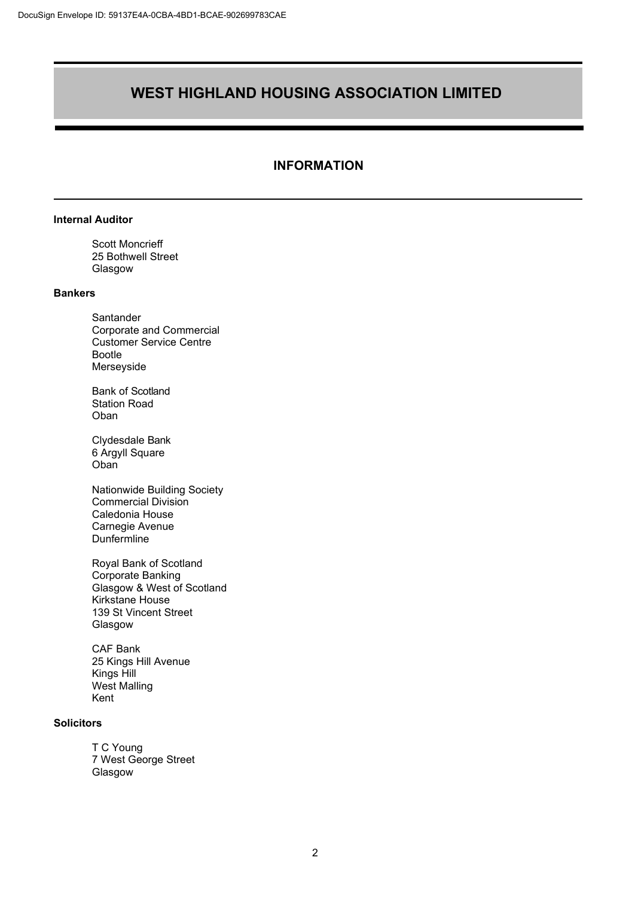#### **INFORMATION**

#### **Internal Auditor**

Scott Moncrieff 25 Bothwell Street Glasgow

#### **Bankers**

Santander Corporate and Commercial Customer Service Centre Bootle Merseyside

Bank of Scotland Station Road Oban

Clydesdale Bank 6 Argyll Square Oban<sup>7</sup>

Nationwide Building Society Commercial Division Caledonia House Carnegie Avenue **Dunfermline** 

Royal Bank of Scotland Corporate Banking Glasgow & West of Scotland Kirkstane House 139 St Vincent Street Glasgow

CAF Bank 25 Kings Hill Avenue Kings Hill West Malling Kent

#### **Solicitors**

T C Young 7 West George Street Glasgow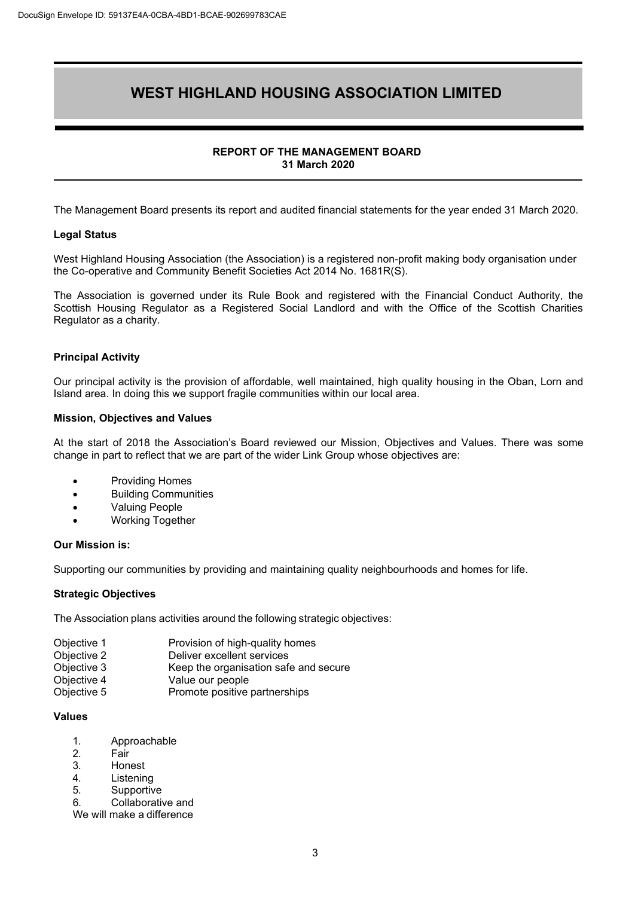#### **REPORT OF THE MANAGEMENT BOARD 31 March 2020**

<span id="page-4-0"></span>The Management Board presents its report and audited financial statements for the year ended 31 March 2020.

#### **Legal Status**

West Highland Housing Association (the Association) is a registered non-profit making body organisation under the Co-operative and Community Benefit Societies Act 2014 No. 1681R(S).

The Association is governed under its Rule Book and registered with the Financial Conduct Authority, the Scottish Housing Regulator as a Registered Social Landlord and with the Office of the Scottish Charities Regulator as a charity.

#### **Principal Activity**

Our principal activity is the provision of affordable, well maintained, high quality housing in the Oban, Lorn and Island area. In doing this we support fragile communities within our local area.

#### **Mission, Objectives and Values**

At the start of 2018 the Association's Board reviewed our Mission, Objectives and Values. There was some change in part to reflect that we are part of the wider Link Group whose objectives are:

- Providing Homes
- Building Communities
- Valuing People
- Working Together

#### **Our Mission is:**

Supporting our communities by providing and maintaining quality neighbourhoods and homes for life.

#### **Strategic Objectives**

The Association plans activities around the following strategic objectives:

- Objective 1 **Provision of high-quality homes**<br>
Objective 2 **Deliver excellent services**
- Objective 2 Deliver excellent services<br>
Objective 3 Reep the organisation safe
- Objective 3 Keep the organisation safe and secure<br>Objective 4 Value our people
- Objective 4 Value our people<br>
Objective 5 Promote positive
- Promote positive partnerships

#### **Values**

- 1. Approachable
- 2. Fair<br>3 Hon
- **Honest**
- 4. Listening
- 5. Supportive<br>6 Collaborativ
- 6. Collaborative and
- We will make a difference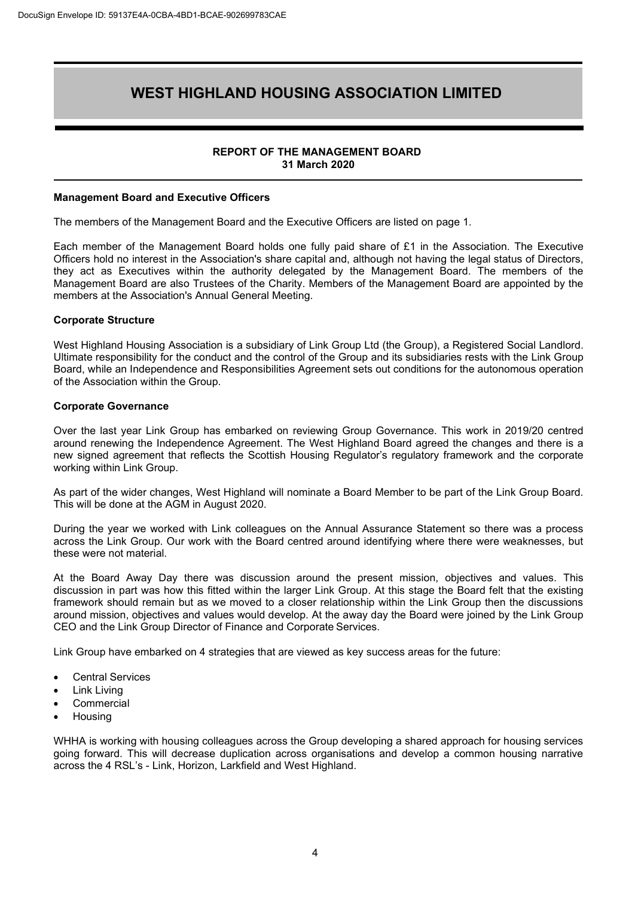#### **REPORT OF THE MANAGEMENT BOARD 31 March 2020**

#### **Management Board and Executive Officers**

The members of the Management Board and the Executive Officers are listed on page 1.

Each member of the Management Board holds one fully paid share of £1 in the Association. The Executive Officers hold no interest in the Association's share capital and, although not having the legal status of Directors, they act as Executives within the authority delegated by the Management Board. The members of the Management Board are also Trustees of the Charity. Members of the Management Board are appointed by the members at the Association's Annual General Meeting.

#### **Corporate Structure**

West Highland Housing Association is a subsidiary of Link Group Ltd (the Group), a Registered Social Landlord. Ultimate responsibility for the conduct and the control of the Group and its subsidiaries rests with the Link Group Board, while an Independence and Responsibilities Agreement sets out conditions for the autonomous operation of the Association within the Group.

#### **Corporate Governance**

Over the last year Link Group has embarked on reviewing Group Governance. This work in 2019/20 centred around renewing the Independence Agreement. The West Highland Board agreed the changes and there is a new signed agreement that reflects the Scottish Housing Regulator's regulatory framework and the corporate working within Link Group.

As part of the wider changes, West Highland will nominate a Board Member to be part of the Link Group Board. This will be done at the AGM in August 2020.

During the year we worked with Link colleagues on the Annual Assurance Statement so there was a process across the Link Group. Our work with the Board centred around identifying where there were weaknesses, but these were not material.

At the Board Away Day there was discussion around the present mission, objectives and values. This discussion in part was how this fitted within the larger Link Group. At this stage the Board felt that the existing framework should remain but as we moved to a closer relationship within the Link Group then the discussions around mission, objectives and values would develop. At the away day the Board were joined by the Link Group CEO and the Link Group Director of Finance and Corporate Services.

Link Group have embarked on 4 strategies that are viewed as key success areas for the future:

- Central Services
- Link Living
- **Commercial**
- Housing

WHHA is working with housing colleagues across the Group developing a shared approach for housing services going forward. This will decrease duplication across organisations and develop a common housing narrative across the 4 RSL's - Link, Horizon, Larkfield and West Highland.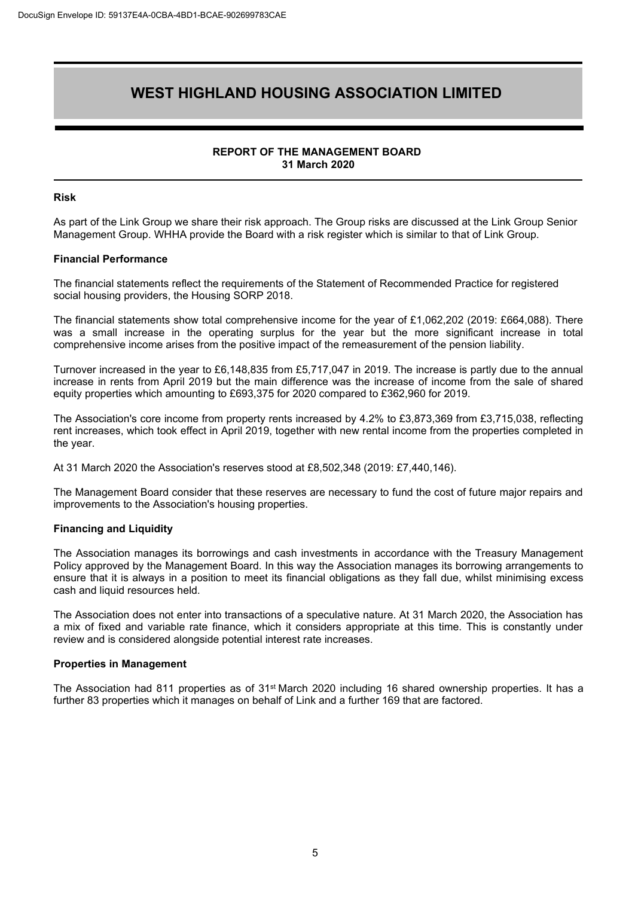#### **REPORT OF THE MANAGEMENT BOARD 31 March 2020**

#### **Risk**

As part of the Link Group we share their risk approach. The Group risks are discussed at the Link Group Senior Management Group. WHHA provide the Board with a risk register which is similar to that of Link Group.

#### **Financial Performance**

The financial statements reflect the requirements of the Statement of Recommended Practice for registered social housing providers, the Housing SORP 2018.

The financial statements show total comprehensive income for the year of £1,062,202 (2019: £664,088). There was a small increase in the operating surplus for the year but the more significant increase in total comprehensive income arises from the positive impact of the remeasurement of the pension liability.

Turnover increased in the year to £6,148,835 from £5,717,047 in 2019. The increase is partly due to the annual increase in rents from April 2019 but the main difference was the increase of income from the sale of shared equity properties which amounting to £693,375 for 2020 compared to £362,960 for 2019.

The Association's core income from property rents increased by 4.2% to £3,873,369 from £3,715,038, reflecting rent increases, which took effect in April 2019, together with new rental income from the properties completed in the year.

At 31 March 2020 the Association's reserves stood at £8,502,348 (2019: £7,440,146).

The Management Board consider that these reserves are necessary to fund the cost of future major repairs and improvements to the Association's housing properties.

#### **Financing and Liquidity**

The Association manages its borrowings and cash investments in accordance with the Treasury Management Policy approved by the Management Board. In this way the Association manages its borrowing arrangements to ensure that it is always in a position to meet its financial obligations as they fall due, whilst minimising excess cash and liquid resources held.

The Association does not enter into transactions of a speculative nature. At 31 March 2020, the Association has a mix of fixed and variable rate finance, which it considers appropriate at this time. This is constantly under review and is considered alongside potential interest rate increases.

#### **Properties in Management**

The Association had 811 properties as of 31<sup>st</sup> March 2020 including 16 shared ownership properties. It has a further 83 properties which it manages on behalf of Link and a further 169 that are factored.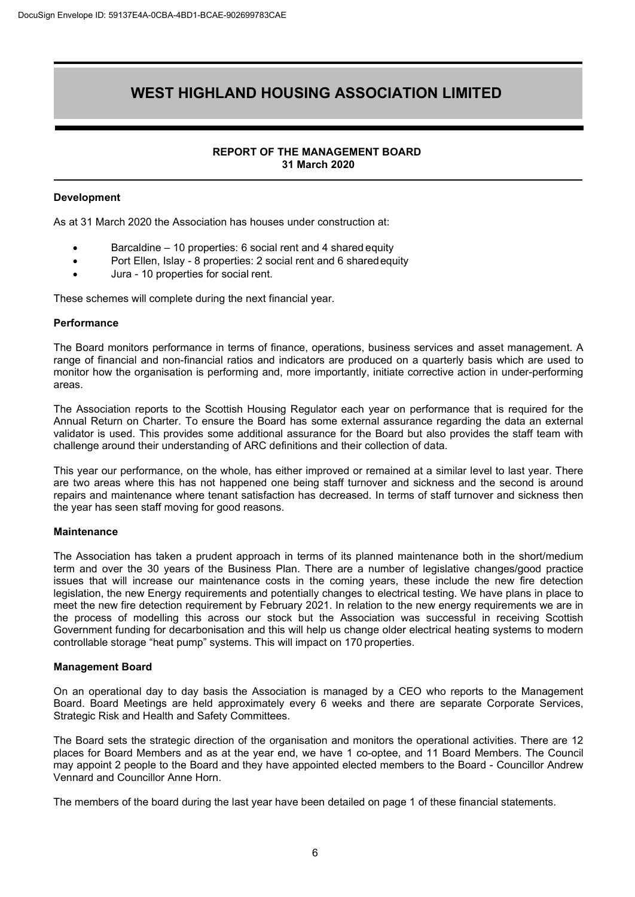#### **REPORT OF THE MANAGEMENT BOARD 31 March 2020**

#### **Development**

As at 31 March 2020 the Association has houses under construction at:

- Barcaldine 10 properties: 6 social rent and 4 shared equity
- Port Ellen, Islay 8 properties: 2 social rent and 6 sharedequity
- Jura 10 properties for social rent.

These schemes will complete during the next financial year.

#### **Performance**

The Board monitors performance in terms of finance, operations, business services and asset management. A range of financial and non-financial ratios and indicators are produced on a quarterly basis which are used to monitor how the organisation is performing and, more importantly, initiate corrective action in under-performing areas.

The Association reports to the Scottish Housing Regulator each year on performance that is required for the Annual Return on Charter. To ensure the Board has some external assurance regarding the data an external validator is used. This provides some additional assurance for the Board but also provides the staff team with challenge around their understanding of ARC definitions and their collection of data.

This year our performance, on the whole, has either improved or remained at a similar level to last year. There are two areas where this has not happened one being staff turnover and sickness and the second is around repairs and maintenance where tenant satisfaction has decreased. In terms of staff turnover and sickness then the year has seen staff moving for good reasons.

#### **Maintenance**

The Association has taken a prudent approach in terms of its planned maintenance both in the short/medium term and over the 30 years of the Business Plan. There are a number of legislative changes/good practice issues that will increase our maintenance costs in the coming years, these include the new fire detection legislation, the new Energy requirements and potentially changes to electrical testing. We have plans in place to meet the new fire detection requirement by February 2021. In relation to the new energy requirements we are in the process of modelling this across our stock but the Association was successful in receiving Scottish Government funding for decarbonisation and this will help us change older electrical heating systems to modern controllable storage "heat pump" systems. This will impact on 170 properties.

#### **Management Board**

On an operational day to day basis the Association is managed by a CEO who reports to the Management Board. Board Meetings are held approximately every 6 weeks and there are separate Corporate Services, Strategic Risk and Health and Safety Committees.

The Board sets the strategic direction of the organisation and monitors the operational activities. There are 12 places for Board Members and as at the year end, we have 1 co-optee, and 11 Board Members. The Council may appoint 2 people to the Board and they have appointed elected members to the Board - Councillor Andrew Vennard and Councillor Anne Horn.

The members of the board during the last year have been detailed on page 1 of these financial statements.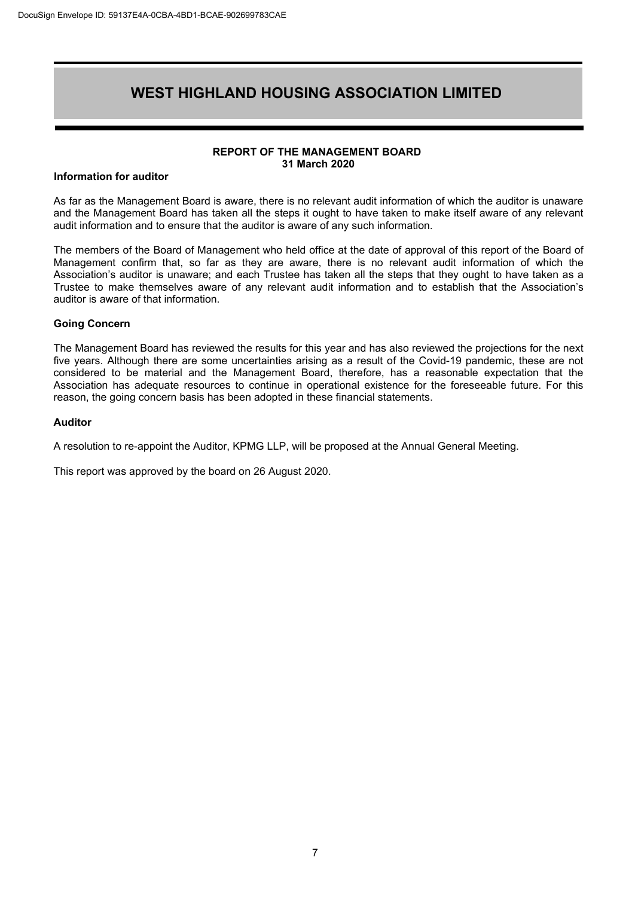#### **REPORT OF THE MANAGEMENT BOARD 31 March 2020**

#### **Information for auditor**

As far as the Management Board is aware, there is no relevant audit information of which the auditor is unaware and the Management Board has taken all the steps it ought to have taken to make itself aware of any relevant audit information and to ensure that the auditor is aware of any such information.

The members of the Board of Management who held office at the date of approval of this report of the Board of Management confirm that, so far as they are aware, there is no relevant audit information of which the Association's auditor is unaware; and each Trustee has taken all the steps that they ought to have taken as a Trustee to make themselves aware of any relevant audit information and to establish that the Association's auditor is aware of that information.

#### **Going Concern**

The Management Board has reviewed the results for this year and has also reviewed the projections for the next five years. Although there are some uncertainties arising as a result of the Covid-19 pandemic, these are not considered to be material and the Management Board, therefore, has a reasonable expectation that the Association has adequate resources to continue in operational existence for the foreseeable future. For this reason, the going concern basis has been adopted in these financial statements.

#### **Auditor**

A resolution to re-appoint the Auditor, KPMG LLP, will be proposed at the Annual General Meeting.

This report was approved by the board on 26 August 2020.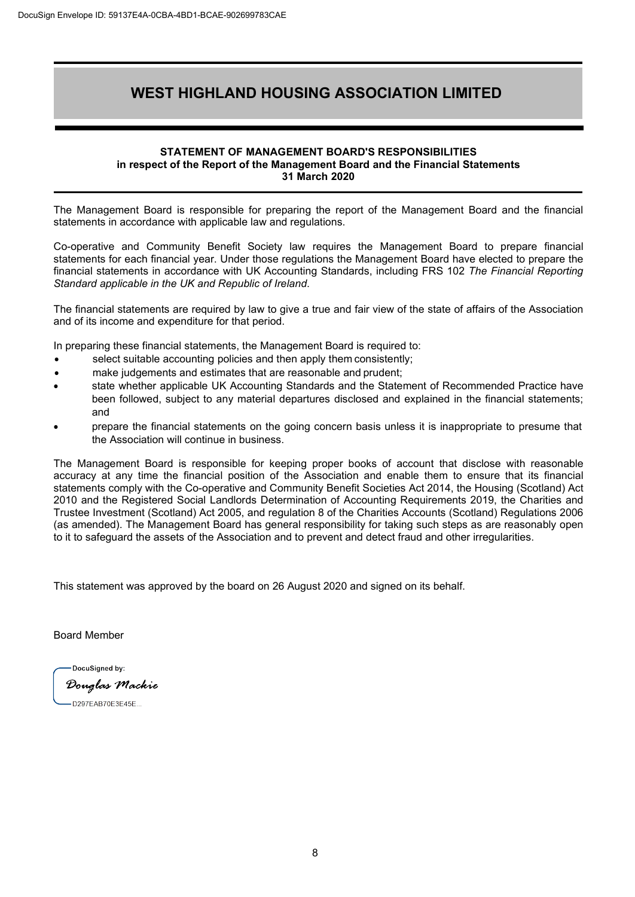#### **STATEMENT OF MANAGEMENT BOARD'S RESPONSIBILITIES in respect of the Report of the Management Board and the Financial Statements 31 March 2020**

The Management Board is responsible for preparing the report of the Management Board and the financial statements in accordance with applicable law and regulations.

Co-operative and Community Benefit Society law requires the Management Board to prepare financial statements for each financial year. Under those regulations the Management Board have elected to prepare the financial statements in accordance with UK Accounting Standards, including FRS 102 *The Financial Reporting Standard applicable in the UK and Republic of Ireland*.

The financial statements are required by law to give a true and fair view of the state of affairs of the Association and of its income and expenditure for that period.

In preparing these financial statements, the Management Board is required to:

- select suitable accounting policies and then apply them consistently;
- make judgements and estimates that are reasonable and prudent;
- state whether applicable UK Accounting Standards and the Statement of Recommended Practice have been followed, subject to any material departures disclosed and explained in the financial statements; and
- prepare the financial statements on the going concern basis unless it is inappropriate to presume that the Association will continue in business.

The Management Board is responsible for keeping proper books of account that disclose with reasonable accuracy at any time the financial position of the Association and enable them to ensure that its financial statements comply with the Co-operative and Community Benefit Societies Act 2014, the Housing (Scotland) Act 2010 and the Registered Social Landlords Determination of Accounting Requirements 2019, the Charities and Trustee Investment (Scotland) Act 2005, and regulation 8 of the Charities Accounts (Scotland) Regulations 2006 (as amended). The Management Board has general responsibility for taking such steps as are reasonably open to it to safeguard the assets of the Association and to prevent and detect fraud and other irregularities.

This statement was approved by the board on 26 August 2020 and signed on its behalf.

Board Member

DocuSianed by: Douglas Mackie

D297EAB70E3E45E.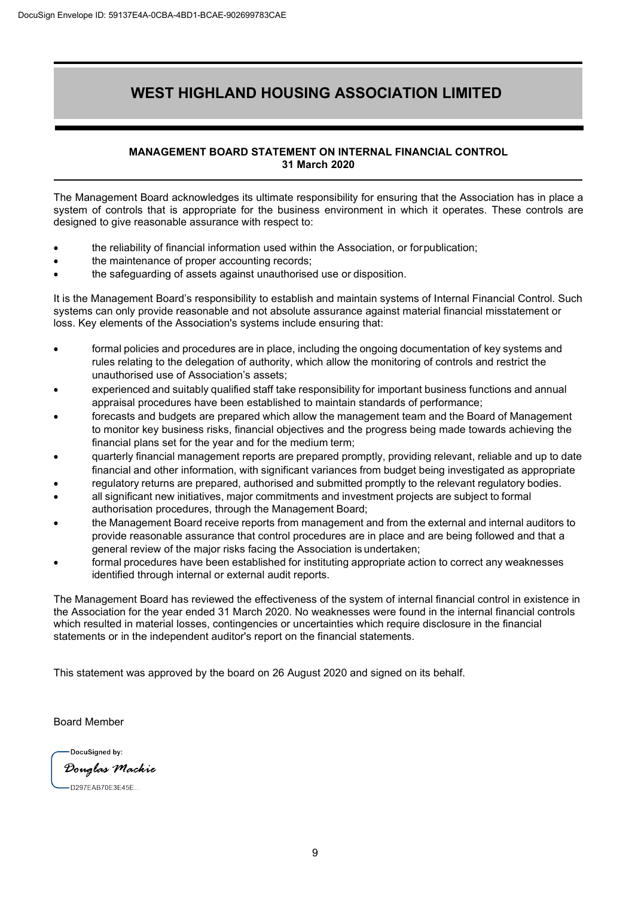#### **MANAGEMENT BOARD STATEMENT ON INTERNAL FINANCIAL CONTROL 31 March 2020**

The Management Board acknowledges its ultimate responsibility for ensuring that the Association has in place a system of controls that is appropriate for the business environment in which it operates. These controls are designed to give reasonable assurance with respect to:

- the reliability of financial information used within the Association, or forpublication;
- the maintenance of proper accounting records;
- the safeguarding of assets against unauthorised use or disposition.

It is the Management Board's responsibility to establish and maintain systems of Internal Financial Control. Such systems can only provide reasonable and not absolute assurance against material financial misstatement or loss. Key elements of the Association's systems include ensuring that:

- formal policies and procedures are in place, including the ongoing documentation of key systems and rules relating to the delegation of authority, which allow the monitoring of controls and restrict the unauthorised use of Association's assets;
- experienced and suitably qualified staff take responsibility for important business functions and annual appraisal procedures have been established to maintain standards of performance;
- forecasts and budgets are prepared which allow the management team and the Board of Management to monitor key business risks, financial objectives and the progress being made towards achieving the financial plans set for the year and for the medium term;
- quarterly financial management reports are prepared promptly, providing relevant, reliable and up to date financial and other information, with significant variances from budget being investigated as appropriate
- regulatory returns are prepared, authorised and submitted promptly to the relevant regulatory bodies.
- all significant new initiatives, major commitments and investment projects are subject to formal authorisation procedures, through the Management Board;
- the Management Board receive reports from management and from the external and internal auditors to provide reasonable assurance that control procedures are in place and are being followed and that a general review of the major risks facing the Association is undertaken;
- formal procedures have been established for instituting appropriate action to correct any weaknesses identified through internal or external audit reports.

The Management Board has reviewed the effectiveness of the system of internal financial control in existence in the Association for the year ended 31 March 2020. No weaknesses were found in the internal financial controls which resulted in material losses, contingencies or uncertainties which require disclosure in the financial statements or in the independent auditor's report on the financial statements.

This statement was approved by the board on 26 August 2020 and signed on its behalf.

Board Member

DocuSigned by: Douglas Mackie D297EAB70E3E45E..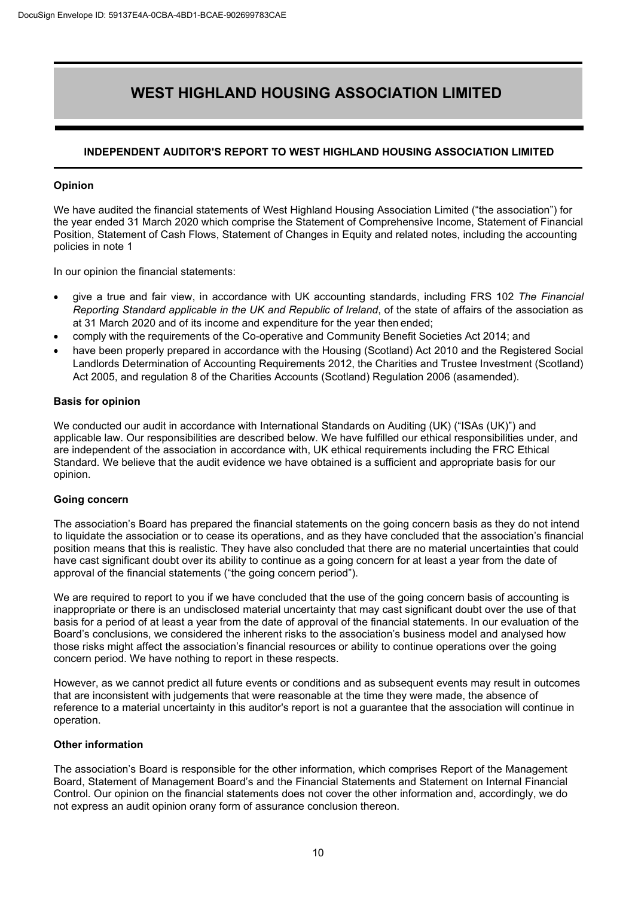#### **INDEPENDENT AUDITOR'S REPORT TO WEST HIGHLAND HOUSING ASSOCIATION LIMITED**

#### **Opinion**

We have audited the financial statements of West Highland Housing Association Limited ("the association") for the year ended 31 March 2020 which comprise the Statement of Comprehensive Income, Statement of Financial Position, Statement of Cash Flows, Statement of Changes in Equity and related notes, including the accounting policies in note 1

In our opinion the financial statements:

- give a true and fair view, in accordance with UK accounting standards, including FRS 102 *The Financial Reporting Standard applicable in the UK and Republic of Ireland*, of the state of affairs of the association as at 31 March 2020 and of its income and expenditure for the year then ended;
- comply with the requirements of the Co-operative and Community Benefit Societies Act 2014; and
- have been properly prepared in accordance with the Housing (Scotland) Act 2010 and the Registered Social Landlords Determination of Accounting Requirements 2012, the Charities and Trustee Investment (Scotland) Act 2005, and regulation 8 of the Charities Accounts (Scotland) Regulation 2006 (asamended).

#### **Basis for opinion**

We conducted our audit in accordance with International Standards on Auditing (UK) ("ISAs (UK)") and applicable law. Our responsibilities are described below. We have fulfilled our ethical responsibilities under, and are independent of the association in accordance with, UK ethical requirements including the FRC Ethical Standard. We believe that the audit evidence we have obtained is a sufficient and appropriate basis for our opinion.

#### **Going concern**

The association's Board has prepared the financial statements on the going concern basis as they do not intend to liquidate the association or to cease its operations, and as they have concluded that the association's financial position means that this is realistic. They have also concluded that there are no material uncertainties that could have cast significant doubt over its ability to continue as a going concern for at least a year from the date of approval of the financial statements ("the going concern period").

We are required to report to you if we have concluded that the use of the going concern basis of accounting is inappropriate or there is an undisclosed material uncertainty that may cast significant doubt over the use of that basis for a period of at least a year from the date of approval of the financial statements. In our evaluation of the Board's conclusions, we considered the inherent risks to the association's business model and analysed how those risks might affect the association's financial resources or ability to continue operations over the going concern period. We have nothing to report in these respects.

However, as we cannot predict all future events or conditions and as subsequent events may result in outcomes that are inconsistent with judgements that were reasonable at the time they were made, the absence of reference to a material uncertainty in this auditor's report is not a guarantee that the association will continue in operation.

#### **Other information**

The association's Board is responsible for the other information, which comprises Report of the Management Board, Statement of Management Board's and the Financial Statements and Statement on Internal Financial Control. Our opinion on the financial statements does not cover the other information and, accordingly, we do not express an audit opinion orany form of assurance conclusion thereon.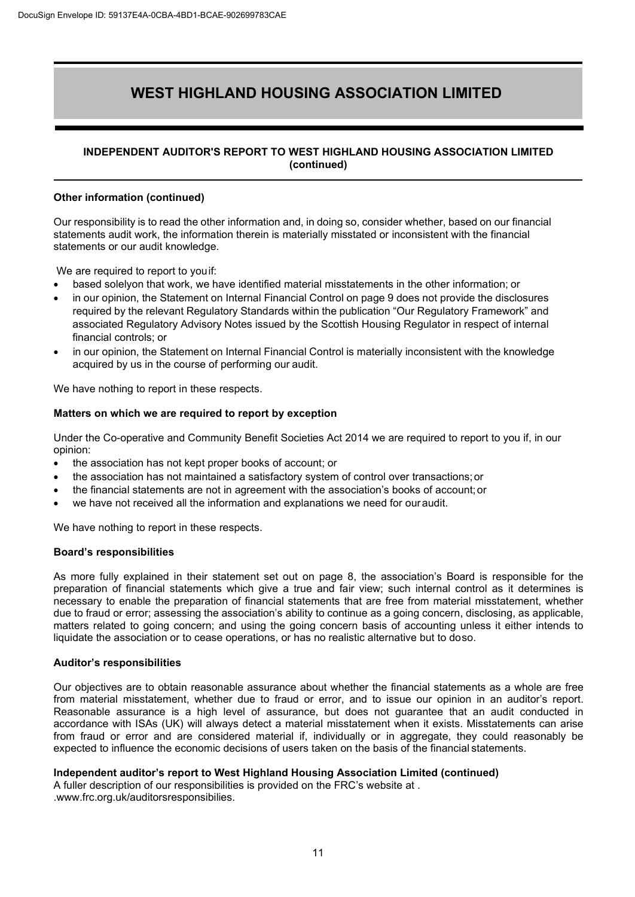#### **INDEPENDENT AUDITOR'S REPORT TO WEST HIGHLAND HOUSING ASSOCIATION LIMITED (continued)**

#### **Other information (continued)**

Our responsibility is to read the other information and, in doing so, consider whether, based on our financial statements audit work, the information therein is materially misstated or inconsistent with the financial statements or our audit knowledge.

We are required to report to youif:

- based solelyon that work, we have identified material misstatements in the other information; or
- in our opinion, the Statement on Internal Financial Control on page 9 does not provide the disclosures required by the relevant Regulatory Standards within the publication "Our Regulatory Framework" and associated Regulatory Advisory Notes issued by the Scottish Housing Regulator in respect of internal financial controls; or
- in our opinion, the Statement on Internal Financial Control is materially inconsistent with the knowledge acquired by us in the course of performing our audit.

We have nothing to report in these respects.

#### **Matters on which we are required to report by exception**

Under the Co-operative and Community Benefit Societies Act 2014 we are required to report to you if, in our opinion:

- the association has not kept proper books of account; or
- the association has not maintained a satisfactory system of control over transactions;or
- the financial statements are not in agreement with the association's books of account;or
- we have not received all the information and explanations we need for our audit.

We have nothing to report in these respects.

#### **Board's responsibilities**

As more fully explained in their statement set out on page 8, the association's Board is responsible for the preparation of financial statements which give a true and fair view; such internal control as it determines is necessary to enable the preparation of financial statements that are free from material misstatement, whether due to fraud or error; assessing the association's ability to continue as a going concern, disclosing, as applicable, matters related to going concern; and using the going concern basis of accounting unless it either intends to liquidate the association or to cease operations, or has no realistic alternative but to doso.

#### **Auditor's responsibilities**

Our objectives are to obtain reasonable assurance about whether the financial statements as a whole are free from material misstatement, whether due to fraud or error, and to issue our opinion in an auditor's report. Reasonable assurance is a high level of assurance, but does not guarantee that an audit conducted in accordance with ISAs (UK) will always detect a material misstatement when it exists. Misstatements can arise from fraud or error and are considered material if, individually or in aggregate, they could reasonably be expected to influence the economic decisions of users taken on the basis of the financial statements.

#### **Independent auditor's report to West Highland Housing Association Limited (continued)**

A fuller description of our responsibilities is provided on the FRC's website at . [.www.frc.org.uk/auditorsresponsibilies.](http://www.frc.org.uk/auditorsresponsibilies)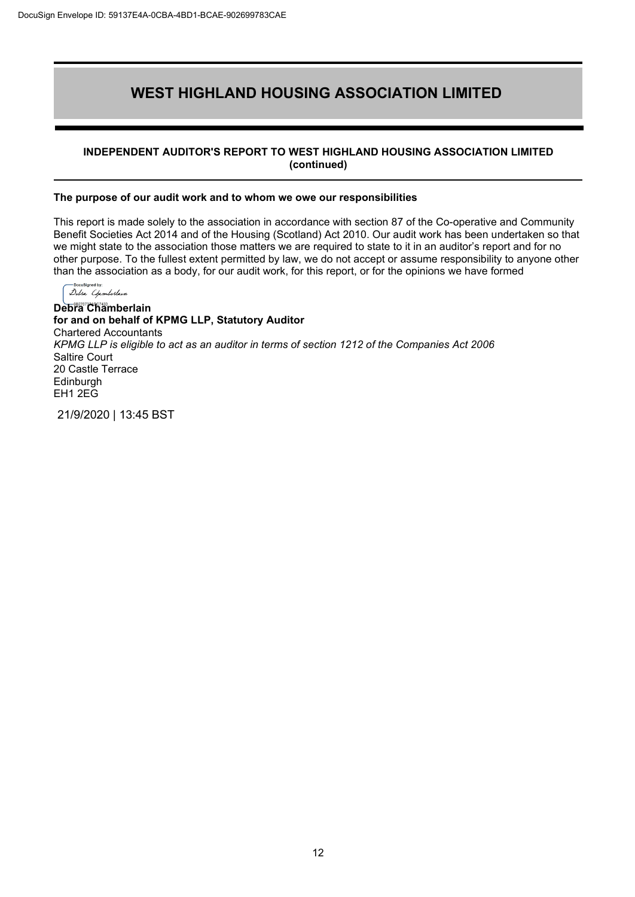#### **INDEPENDENT AUDITOR'S REPORT TO WEST HIGHLAND HOUSING ASSOCIATION LIMITED (continued)**

#### **The purpose of our audit work and to whom we owe our responsibilities**

This report is made solely to the association in accordance with section 87 of the Co-operative and Community Benefit Societies Act 2014 and of the Housing (Scotland) Act 2010. Our audit work has been undertaken so that we might state to the association those matters we are required to state to it in an auditor's report and for no other purpose. To the fullest extent permitted by law, we do not accept or assume responsibility to anyone other than the association as a body, for our audit work, for this report, or for the opinions we have formed

Delsa Chamberlain **Debra Chamberlain for and on behalf of KPMG LLP, Statutory Auditor** Chartered Accountants *KPMG LLP is eligible to act as an auditor in terms of section 1212 of the Companies Act 2006* Saltire Court 20 Castle Terrace Edinburgh EH1 2EG

21/9/2020 | 13:45 BST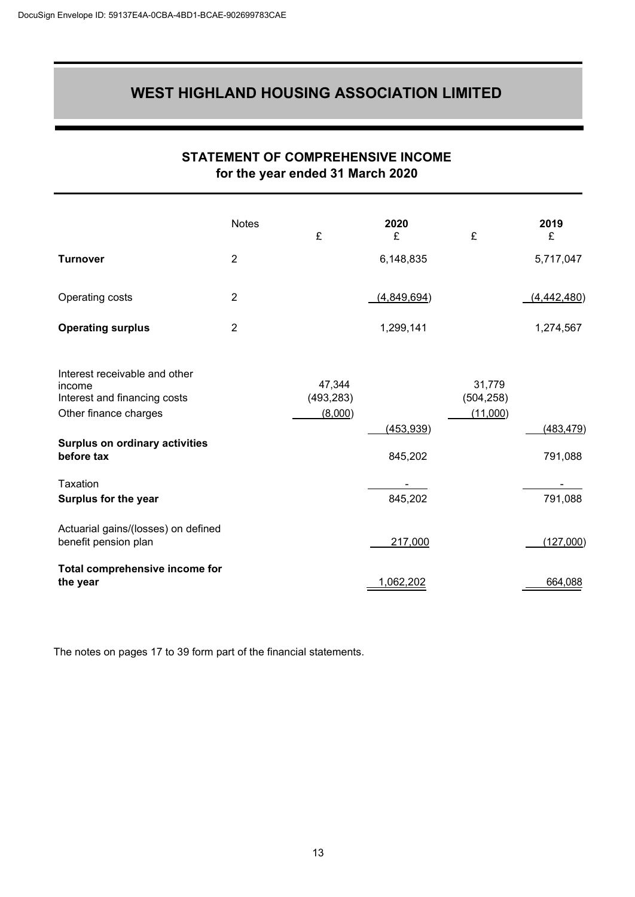### **STATEMENT OF COMPREHENSIVE INCOME for the year ended 31 March 2020**

<span id="page-14-0"></span>

|                                                                                                                                                         | <b>Notes</b>   | £                               | 2020<br>£             | £                                | 2019<br>£             |
|---------------------------------------------------------------------------------------------------------------------------------------------------------|----------------|---------------------------------|-----------------------|----------------------------------|-----------------------|
| <b>Turnover</b>                                                                                                                                         | $\overline{2}$ |                                 | 6,148,835             |                                  | 5,717,047             |
| Operating costs                                                                                                                                         | $\overline{2}$ |                                 | (4,849,694)           |                                  | (4, 442, 480)         |
| <b>Operating surplus</b>                                                                                                                                | $\overline{2}$ |                                 | 1,299,141             |                                  | 1,274,567             |
| Interest receivable and other<br>income<br>Interest and financing costs<br>Other finance charges<br><b>Surplus on ordinary activities</b><br>before tax |                | 47,344<br>(493, 283)<br>(8,000) | (453, 939)<br>845,202 | 31,779<br>(504, 258)<br>(11,000) | (483, 479)<br>791,088 |
| Taxation<br>Surplus for the year                                                                                                                        |                |                                 | 845,202               |                                  | 791,088               |
| Actuarial gains/(losses) on defined<br>benefit pension plan                                                                                             |                |                                 | 217,000               |                                  | (127,000)             |
| Total comprehensive income for<br>the year                                                                                                              |                |                                 | 1,062,202             |                                  | 664,088               |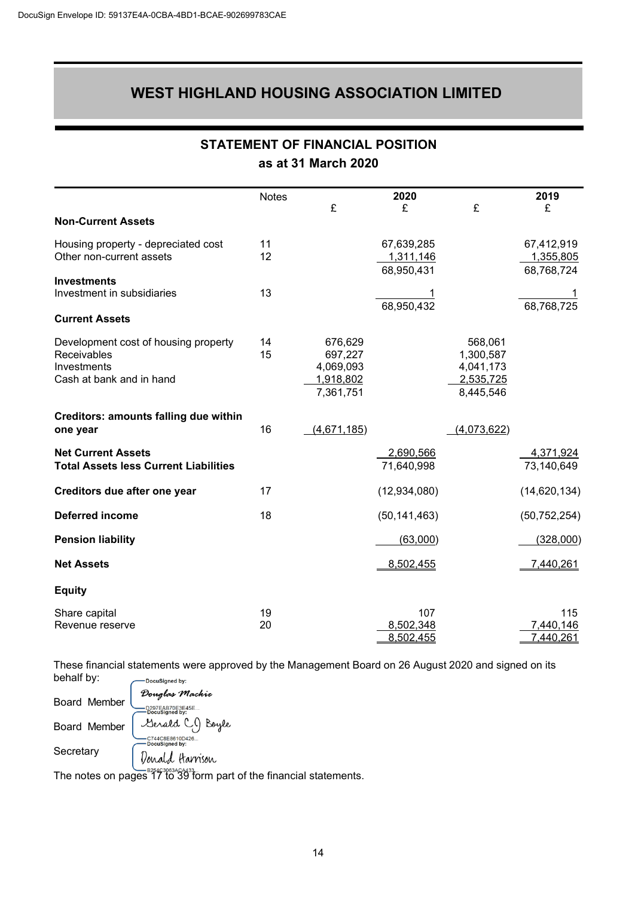<span id="page-15-0"></span>

|                                                                                                | <b>Notes</b> | £                                                         | 2020<br>£                             | £                                                           | 2019<br>£                             |
|------------------------------------------------------------------------------------------------|--------------|-----------------------------------------------------------|---------------------------------------|-------------------------------------------------------------|---------------------------------------|
| <b>Non-Current Assets</b>                                                                      |              |                                                           |                                       |                                                             |                                       |
| Housing property - depreciated cost<br>Other non-current assets                                | 11<br>12     |                                                           | 67,639,285<br>1,311,146<br>68,950,431 |                                                             | 67,412,919<br>1,355,805<br>68,768,724 |
| <b>Investments</b><br>Investment in subsidiaries                                               | 13           |                                                           | $\frac{1}{68,950,432}$                |                                                             | 68,768,725                            |
| <b>Current Assets</b>                                                                          |              |                                                           |                                       |                                                             |                                       |
| Development cost of housing property<br>Receivables<br>Investments<br>Cash at bank and in hand | 14<br>15     | 676,629<br>697,227<br>4,069,093<br>1,918,802<br>7,361,751 |                                       | 568,061<br>1,300,587<br>4,041,173<br>2,535,725<br>8,445,546 |                                       |
| Creditors: amounts falling due within<br>one year                                              | 16           | (4,671,185)                                               |                                       | (4,073,622)                                                 |                                       |
| <b>Net Current Assets</b><br><b>Total Assets less Current Liabilities</b>                      |              |                                                           | 2,690,566<br>71,640,998               |                                                             | 4,371,924<br>73,140,649               |
| Creditors due after one year                                                                   | 17           |                                                           | (12,934,080)                          |                                                             | (14, 620, 134)                        |
| <b>Deferred income</b>                                                                         | 18           |                                                           | (50, 141, 463)                        |                                                             | (50, 752, 254)                        |
| <b>Pension liability</b>                                                                       |              |                                                           | (63,000)                              |                                                             | (328,000)                             |
| <b>Net Assets</b>                                                                              |              |                                                           | 8,502,455                             |                                                             | 7,440,261                             |
| <b>Equity</b>                                                                                  |              |                                                           |                                       |                                                             |                                       |
| Share capital<br>Revenue reserve                                                               | 19<br>20     |                                                           | 107<br>8,502,348<br>8,502,455         |                                                             | 115<br>7,440,146<br>7,440,261         |

**STATEMENT OF FINANCIAL POSITION**

**as at 31 March 2020**

These financial statements were approved by the Management Board on 26 August 2020 and signed on its

behalf by: -<br>DocuSigned by: Douglas Mackie Board Member -D297EAB70E3E45E..<br>-DocuSigned by: Serald CJ Boyle Board Member ب<br>- C744C8E8610D426...<br>- DocuSianed bv: **Secretary** Donald Harrison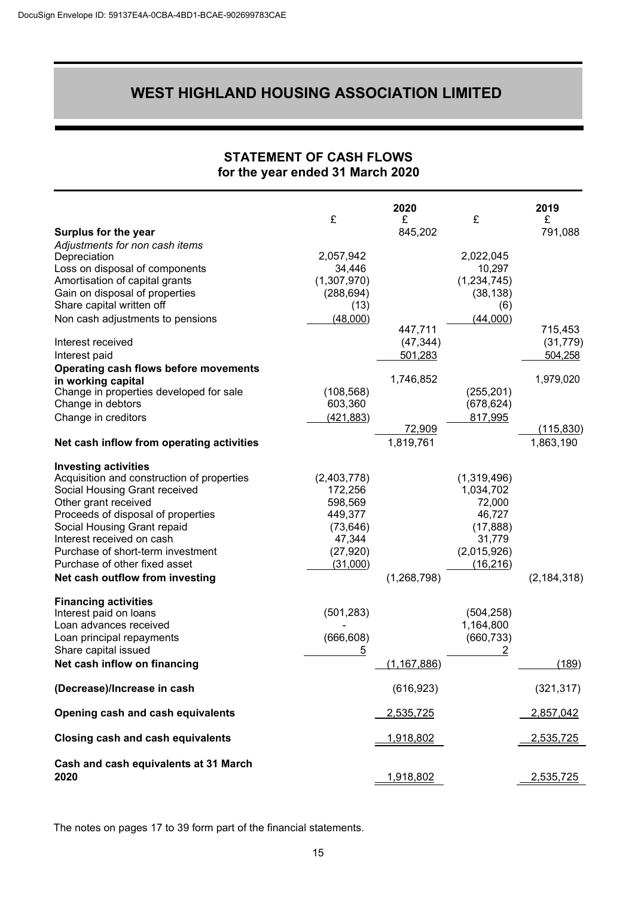### **STATEMENT OF CASH FLOWS for the year ended 31 March 2020**

<span id="page-16-0"></span>

|                                            | £           | 2020<br>£            | £             | 2019<br>£            |
|--------------------------------------------|-------------|----------------------|---------------|----------------------|
| Surplus for the year                       |             | 845,202              |               | 791,088              |
| Adjustments for non cash items             |             |                      |               |                      |
| Depreciation                               | 2,057,942   |                      | 2,022,045     |                      |
| Loss on disposal of components             | 34,446      |                      | 10,297        |                      |
| Amortisation of capital grants             | (1,307,970) |                      | (1, 234, 745) |                      |
| Gain on disposal of properties             | (288, 694)  |                      | (38, 138)     |                      |
| Share capital written off                  | (13)        |                      | (6)           |                      |
| Non cash adjustments to pensions           | (48,000)    |                      | (44,000)      |                      |
| Interest received                          |             | 447,711<br>(47, 344) |               | 715,453<br>(31, 779) |
| Interest paid                              |             | 501,283              |               | 504,258              |
| Operating cash flows before movements      |             |                      |               |                      |
| in working capital                         |             | 1,746,852            |               | 1,979,020            |
| Change in properties developed for sale    | (108, 568)  |                      | (255, 201)    |                      |
| Change in debtors                          | 603,360     |                      | (678, 624)    |                      |
| Change in creditors                        | (421, 883)  |                      | 817,995       |                      |
|                                            |             | 72,909               |               | <u>(115,830)</u>     |
| Net cash inflow from operating activities  |             | 1,819,761            |               | 1,863,190            |
| <b>Investing activities</b>                |             |                      |               |                      |
| Acquisition and construction of properties | (2,403,778) |                      | (1,319,496)   |                      |
| Social Housing Grant received              | 172,256     |                      | 1,034,702     |                      |
| Other grant received                       | 598,569     |                      | 72,000        |                      |
| Proceeds of disposal of properties         | 449,377     |                      | 46,727        |                      |
| Social Housing Grant repaid                | (73, 646)   |                      | (17, 888)     |                      |
| Interest received on cash                  | 47,344      |                      | 31,779        |                      |
| Purchase of short-term investment          | (27, 920)   |                      | (2,015,926)   |                      |
| Purchase of other fixed asset              | (31,000)    |                      | (16, 216)     |                      |
| Net cash outflow from investing            |             | (1, 268, 798)        |               | (2, 184, 318)        |
| <b>Financing activities</b>                |             |                      |               |                      |
| Interest paid on loans                     | (501, 283)  |                      | (504, 258)    |                      |
| Loan advances received                     |             |                      | 1,164,800     |                      |
| Loan principal repayments                  | (666, 608)  |                      | (660, 733)    |                      |
| Share capital issued                       | 5           |                      | <u>2</u>      |                      |
| Net cash inflow on financing               |             | (1, 167, 886)        |               | (189)                |
| (Decrease)/Increase in cash                |             | (616, 923)           |               | (321, 317)           |
| Opening cash and cash equivalents          |             | 2,535,725            |               | 2,857,042            |
| <b>Closing cash and cash equivalents</b>   |             | 1,918,802            |               | 2,535,725            |
| Cash and cash equivalents at 31 March      |             |                      |               |                      |
| 2020                                       |             | <u>1,918,802</u>     |               | 2,535,725            |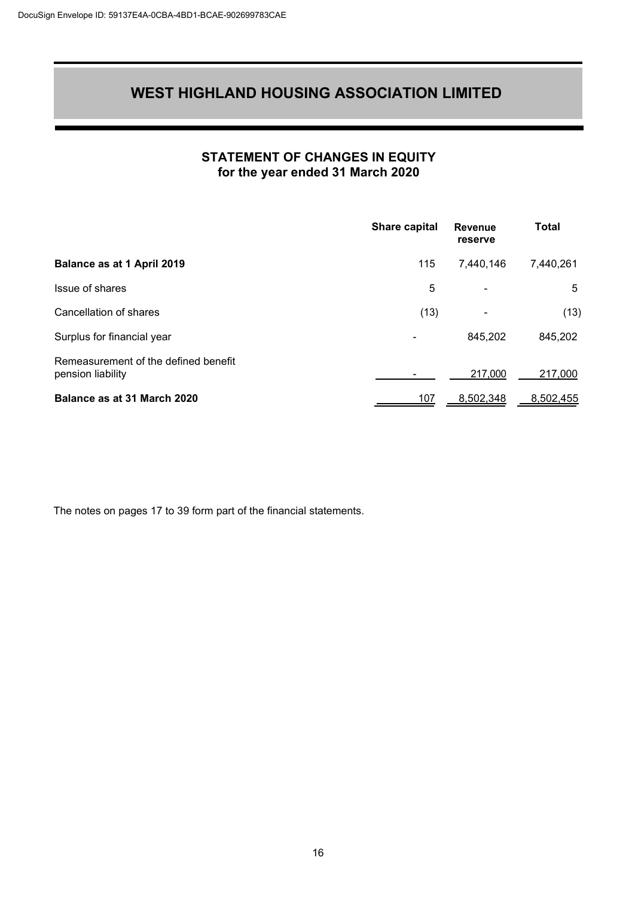### **STATEMENT OF CHANGES IN EQUITY for the year ended 31 March 2020**

<span id="page-17-0"></span>

|                                                           | Share capital | <b>Revenue</b><br>reserve | <b>Total</b> |
|-----------------------------------------------------------|---------------|---------------------------|--------------|
| Balance as at 1 April 2019                                | 115           | 7,440,146                 | 7,440,261    |
| Issue of shares                                           | 5             |                           | 5            |
| Cancellation of shares                                    | (13)          |                           | (13)         |
| Surplus for financial year                                |               | 845,202                   | 845,202      |
| Remeasurement of the defined benefit<br>pension liability |               | 217,000                   | 217,000      |
| Balance as at 31 March 2020                               | 107           | 8,502,348                 | 8,502,455    |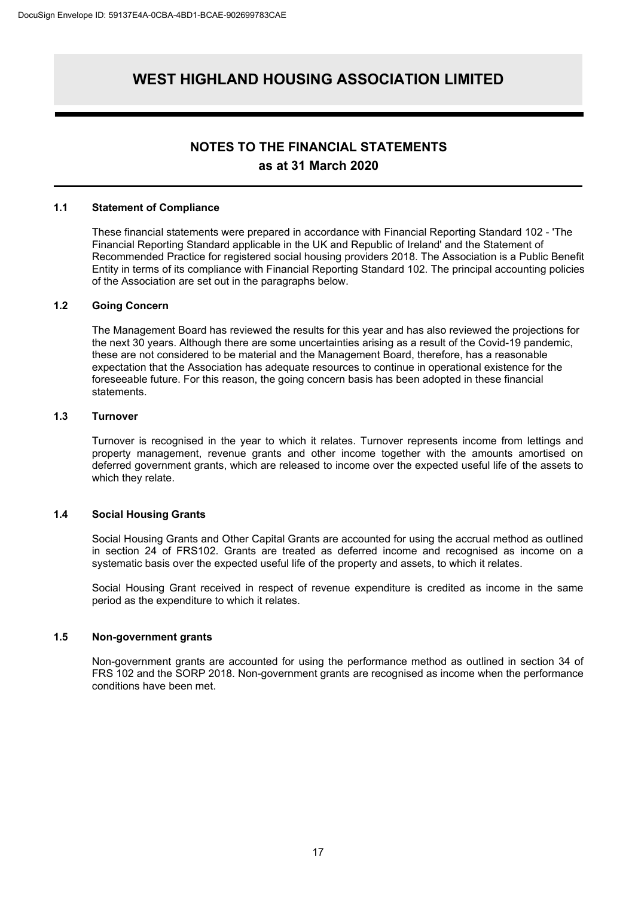#### **NOTES TO THE FINANCIAL STATEMENTS as at 31 March 2020**

#### <span id="page-18-0"></span>**1.1 Statement of Compliance**

These financial statements were prepared in accordance with Financial Reporting Standard 102 - 'The Financial Reporting Standard applicable in the UK and Republic of Ireland' and the Statement of Recommended Practice for registered social housing providers 2018. The Association is a Public Benefit Entity in terms of its compliance with Financial Reporting Standard 102. The principal accounting policies of the Association are set out in the paragraphs below.

#### **1.2 Going Concern**

The Management Board has reviewed the results for this year and has also reviewed the projections for the next 30 years. Although there are some uncertainties arising as a result of the Covid-19 pandemic, these are not considered to be material and the Management Board, therefore, has a reasonable expectation that the Association has adequate resources to continue in operational existence for the foreseeable future. For this reason, the going concern basis has been adopted in these financial statements.

#### **1.3 Turnover**

Turnover is recognised in the year to which it relates. Turnover represents income from lettings and property management, revenue grants and other income together with the amounts amortised on deferred government grants, which are released to income over the expected useful life of the assets to which they relate.

#### **1.4 Social Housing Grants**

Social Housing Grants and Other Capital Grants are accounted for using the accrual method as outlined in section 24 of FRS102. Grants are treated as deferred income and recognised as income on a systematic basis over the expected useful life of the property and assets, to which it relates.

Social Housing Grant received in respect of revenue expenditure is credited as income in the same period as the expenditure to which it relates.

#### **1.5 Non-government grants**

Non-government grants are accounted for using the performance method as outlined in section 34 of FRS 102 and the SORP 2018. Non-government grants are recognised as income when the performance conditions have been met.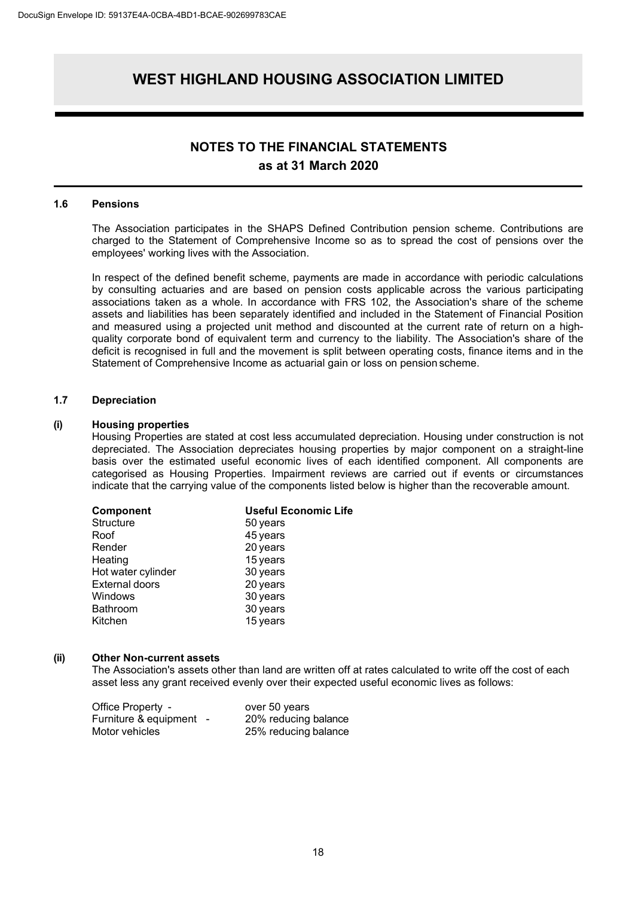#### **NOTES TO THE FINANCIAL STATEMENTS as at 31 March 2020**

#### **1.6 Pensions**

The Association participates in the SHAPS Defined Contribution pension scheme. Contributions are charged to the Statement of Comprehensive Income so as to spread the cost of pensions over the employees' working lives with the Association.

In respect of the defined benefit scheme, payments are made in accordance with periodic calculations by consulting actuaries and are based on pension costs applicable across the various participating associations taken as a whole. In accordance with FRS 102, the Association's share of the scheme assets and liabilities has been separately identified and included in the Statement of Financial Position and measured using a projected unit method and discounted at the current rate of return on a highquality corporate bond of equivalent term and currency to the liability. The Association's share of the deficit is recognised in full and the movement is split between operating costs, finance items and in the Statement of Comprehensive Income as actuarial gain or loss on pension scheme.

#### **1.7 Depreciation**

#### **(i) Housing properties**

Housing Properties are stated at cost less accumulated depreciation. Housing under construction is not depreciated. The Association depreciates housing properties by major component on a straight-line basis over the estimated useful economic lives of each identified component. All components are categorised as Housing Properties. Impairment reviews are carried out if events or circumstances indicate that the carrying value of the components listed below is higher than the recoverable amount.

| <b>Component</b>      | <b>Useful Economic Life</b> |
|-----------------------|-----------------------------|
| Structure             | 50 years                    |
| Roof                  | 45 years                    |
| Render                | 20 years                    |
| Heating               | 15 years                    |
| Hot water cylinder    | 30 years                    |
| <b>External doors</b> | 20 years                    |
| Windows               | 30 years                    |
| Bathroom              | 30 years                    |
| Kitchen               | 15 years                    |

#### **(ii) Other Non-current assets**

The Association's assets other than land are written off at rates calculated to write off the cost of each asset less any grant received evenly over their expected useful economic lives as follows:

| Office Property -       | over 50 years        |
|-------------------------|----------------------|
| Furniture & equipment - | 20% reducing balance |
| Motor vehicles          | 25% reducing balance |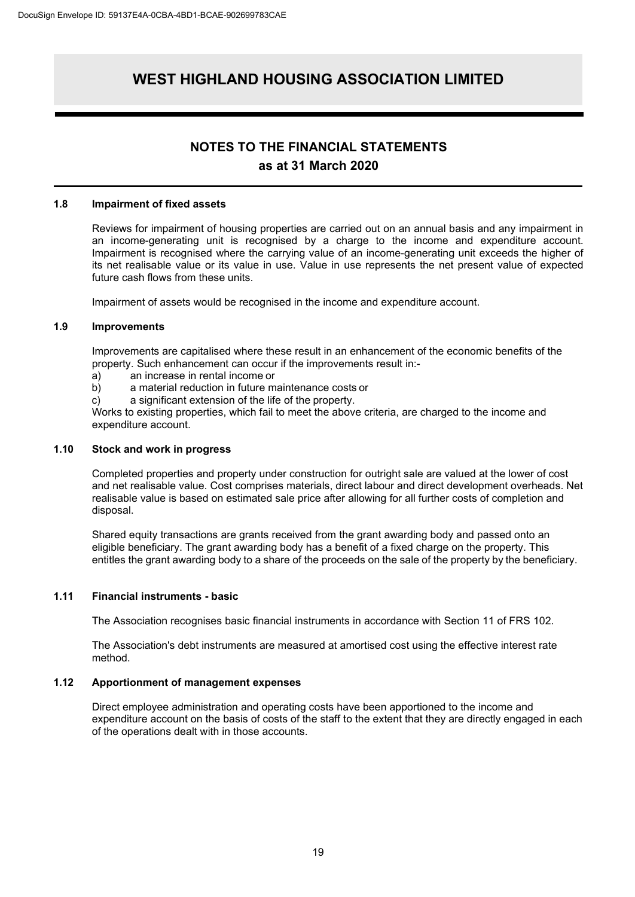#### **NOTES TO THE FINANCIAL STATEMENTS as at 31 March 2020**

#### **1.8 Impairment of fixed assets**

Reviews for impairment of housing properties are carried out on an annual basis and any impairment in an income-generating unit is recognised by a charge to the income and expenditure account. Impairment is recognised where the carrying value of an income-generating unit exceeds the higher of its net realisable value or its value in use. Value in use represents the net present value of expected future cash flows from these units.

Impairment of assets would be recognised in the income and expenditure account.

#### **1.9 Improvements**

Improvements are capitalised where these result in an enhancement of the economic benefits of the property. Such enhancement can occur if the improvements result in:-

- a) an increase in rental income or
- b) a material reduction in future maintenance costs or
- c) a significant extension of the life of the property.

Works to existing properties, which fail to meet the above criteria, are charged to the income and expenditure account.

#### **1.10 Stock and work in progress**

Completed properties and property under construction for outright sale are valued at the lower of cost and net realisable value. Cost comprises materials, direct labour and direct development overheads. Net realisable value is based on estimated sale price after allowing for all further costs of completion and disposal.

Shared equity transactions are grants received from the grant awarding body and passed onto an eligible beneficiary. The grant awarding body has a benefit of a fixed charge on the property. This entitles the grant awarding body to a share of the proceeds on the sale of the property by the beneficiary.

#### **1.11 Financial instruments - basic**

The Association recognises basic financial instruments in accordance with Section 11 of FRS 102.

The Association's debt instruments are measured at amortised cost using the effective interest rate method.

#### **1.12 Apportionment of management expenses**

Direct employee administration and operating costs have been apportioned to the income and expenditure account on the basis of costs of the staff to the extent that they are directly engaged in each of the operations dealt with in those accounts.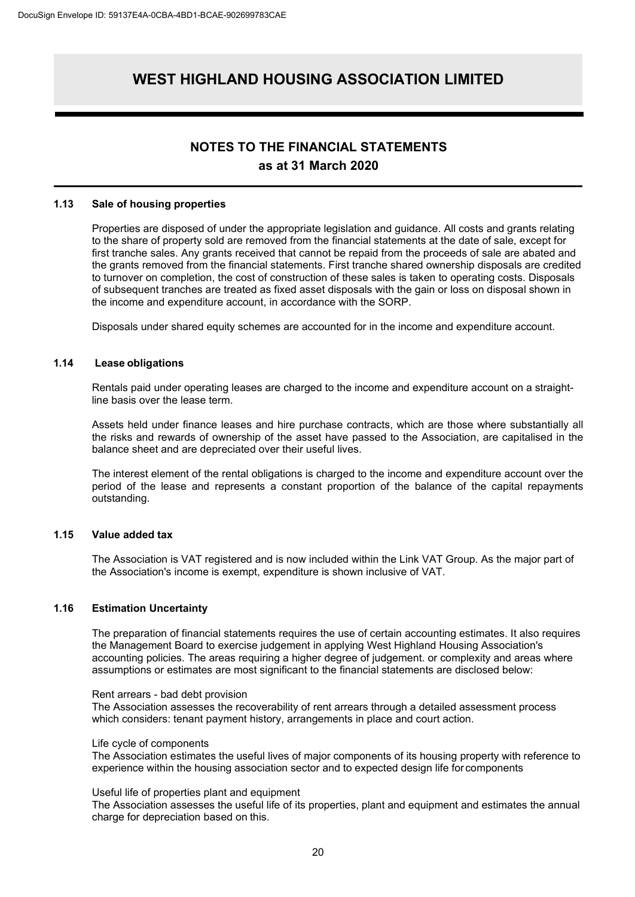#### **NOTES TO THE FINANCIAL STATEMENTS as at 31 March 2020**

#### **1.13 Sale of housing properties**

Properties are disposed of under the appropriate legislation and guidance. All costs and grants relating to the share of property sold are removed from the financial statements at the date of sale, except for first tranche sales. Any grants received that cannot be repaid from the proceeds of sale are abated and the grants removed from the financial statements. First tranche shared ownership disposals are credited to turnover on completion, the cost of construction of these sales is taken to operating costs. Disposals of subsequent tranches are treated as fixed asset disposals with the gain or loss on disposal shown in the income and expenditure account, in accordance with the SORP.

Disposals under shared equity schemes are accounted for in the income and expenditure account.

#### **1.14 Lease obligations**

Rentals paid under operating leases are charged to the income and expenditure account on a straightline basis over the lease term.

Assets held under finance leases and hire purchase contracts, which are those where substantially all the risks and rewards of ownership of the asset have passed to the Association, are capitalised in the balance sheet and are depreciated over their useful lives.

The interest element of the rental obligations is charged to the income and expenditure account over the period of the lease and represents a constant proportion of the balance of the capital repayments outstanding.

#### **1.15 Value added tax**

The Association is VAT registered and is now included within the Link VAT Group. As the major part of the Association's income is exempt, expenditure is shown inclusive of VAT.

#### **1.16 Estimation Uncertainty**

The preparation of financial statements requires the use of certain accounting estimates. It also requires the Management Board to exercise judgement in applying West Highland Housing Association's accounting policies. The areas requiring a higher degree of judgement. or complexity and areas where assumptions or estimates are most significant to the financial statements are disclosed below:

#### Rent arrears - bad debt provision

The Association assesses the recoverability of rent arrears through a detailed assessment process which considers: tenant payment history, arrangements in place and court action.

#### Life cycle of components

The Association estimates the useful lives of major components of its housing property with reference to experience within the housing association sector and to expected design life forcomponents

#### Useful life of properties plant and equipment

The Association assesses the useful life of its properties, plant and equipment and estimates the annual charge for depreciation based on this.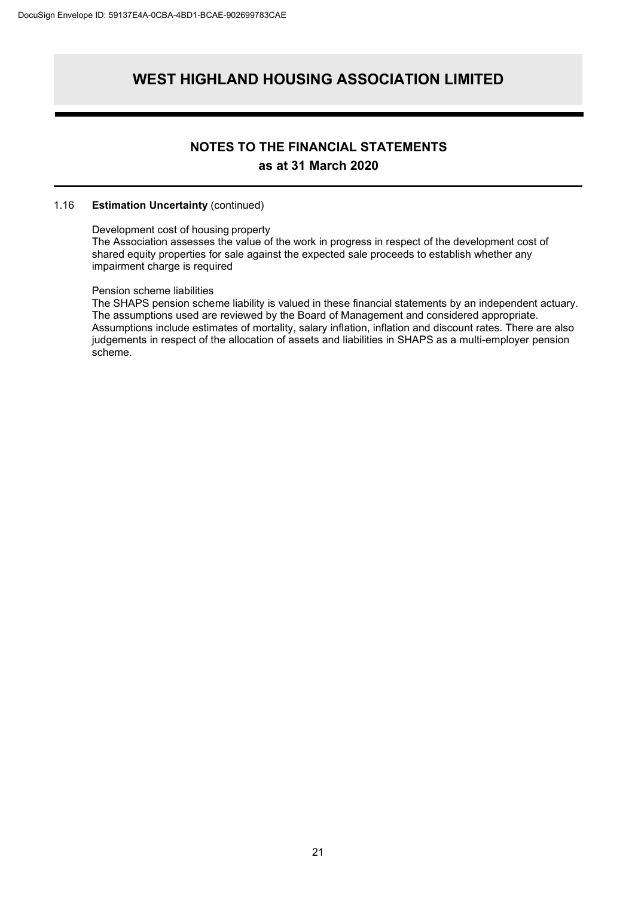### **NOTES TO THE FINANCIAL STATEMENTS as at 31 March 2020**

#### 1.16 **Estimation Uncertainty** (continued)

#### Development cost of housing property

The Association assesses the value of the work in progress in respect of the development cost of shared equity properties for sale against the expected sale proceeds to establish whether any impairment charge is required

#### Pension scheme liabilities

The SHAPS pension scheme liability is valued in these financial statements by an independent actuary. The assumptions used are reviewed by the Board of Management and considered appropriate. Assumptions include estimates of mortality, salary inflation, inflation and discount rates. There are also judgements in respect of the allocation of assets and liabilities in SHAPS as a multi-employer pension scheme.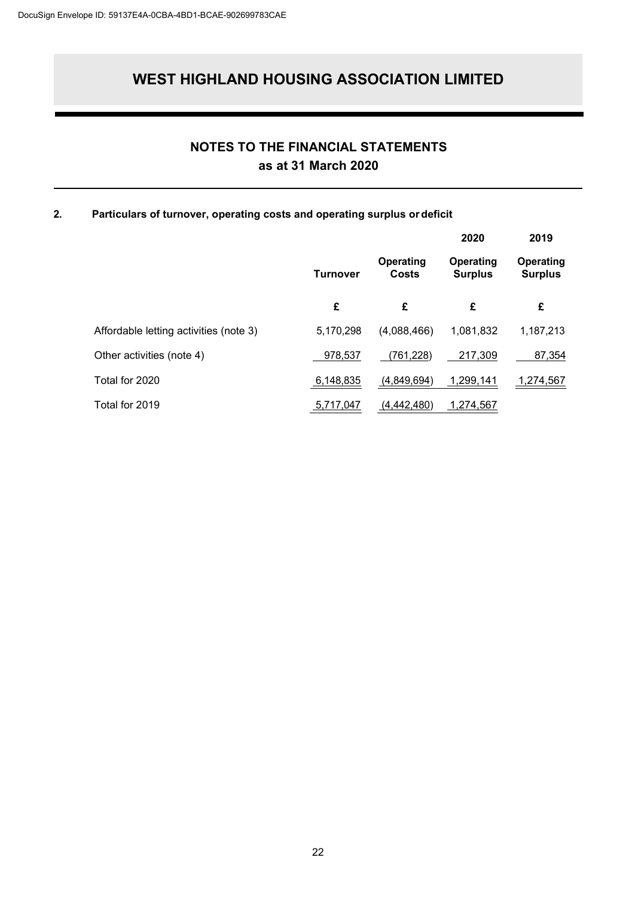### **NOTES TO THE FINANCIAL STATEMENTS as at 31 March 2020**

#### **2. Particulars of turnover, operating costs and operating surplus ordeficit**

|                                        |                 |                    | 2020                        | 2019                        |
|----------------------------------------|-----------------|--------------------|-----------------------------|-----------------------------|
|                                        | <b>Turnover</b> | Operating<br>Costs | Operating<br><b>Surplus</b> | Operating<br><b>Surplus</b> |
|                                        | £               | £                  | £                           | £                           |
| Affordable letting activities (note 3) | 5,170,298       | (4,088,466)        | 1,081,832                   | 1,187,213                   |
| Other activities (note 4)              | 978,537         | (761, 228)         | 217.309                     | 87,354                      |
| Total for 2020                         | 6,148,835       | (4,849,694)        | 1,299,141                   | 1,274,567                   |
| Total for 2019                         | 5,717,047       | (4,442,480)        | 1,274,567                   |                             |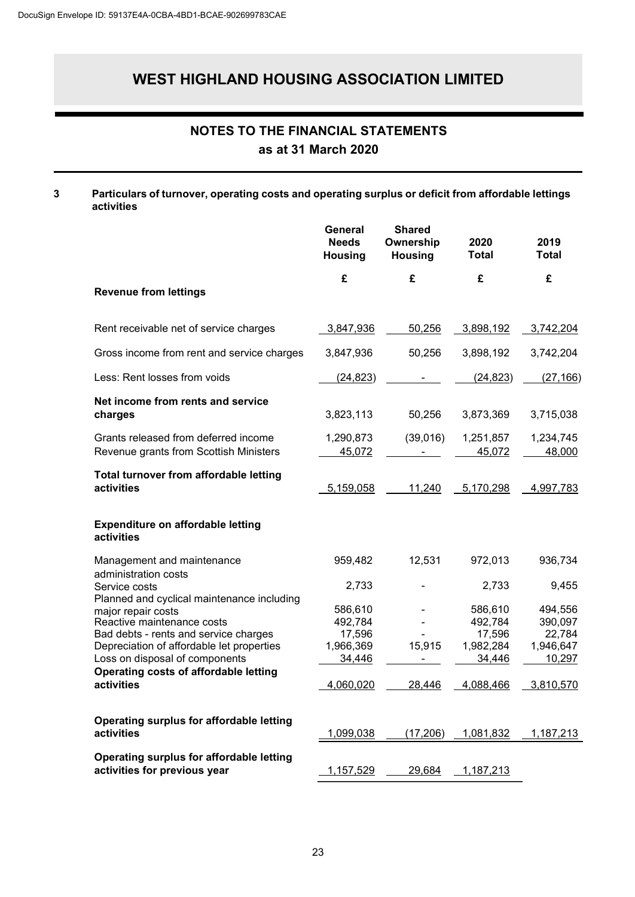### **NOTES TO THE FINANCIAL STATEMENTS as at 31 March 2020**

#### **3 Particulars of turnover, operating costs and operating surplus or deficit from affordable lettings activities**

|                                                                                                                                                                                                                        | General<br><b>Needs</b><br><b>Housing</b>           | <b>Shared</b><br>Ownership<br><b>Housing</b> | 2020<br><b>Total</b>                                | 2019<br><b>Total</b>                                |
|------------------------------------------------------------------------------------------------------------------------------------------------------------------------------------------------------------------------|-----------------------------------------------------|----------------------------------------------|-----------------------------------------------------|-----------------------------------------------------|
| <b>Revenue from lettings</b>                                                                                                                                                                                           | £                                                   | £                                            | £                                                   | £                                                   |
| Rent receivable net of service charges                                                                                                                                                                                 | 3,847,936                                           | 50,256                                       | 3,898,192                                           | 3,742,204                                           |
| Gross income from rent and service charges                                                                                                                                                                             | 3,847,936                                           | 50,256                                       | 3,898,192                                           | 3,742,204                                           |
| Less: Rent losses from voids                                                                                                                                                                                           | (24, 823)                                           |                                              | (24, 823)                                           | (27, 166)                                           |
| Net income from rents and service<br>charges                                                                                                                                                                           | 3,823,113                                           | 50,256                                       | 3,873,369                                           | 3,715,038                                           |
| Grants released from deferred income<br>Revenue grants from Scottish Ministers                                                                                                                                         | 1,290,873<br>45,072                                 | (39,016)                                     | 1,251,857<br>45,072                                 | 1,234,745<br>48,000                                 |
| <b>Total turnover from affordable letting</b><br>activities                                                                                                                                                            | 5,159,058                                           | 11,240                                       | 5,170,298                                           | 4,997,783                                           |
| Expenditure on affordable letting<br>activities                                                                                                                                                                        |                                                     |                                              |                                                     |                                                     |
| Management and maintenance                                                                                                                                                                                             | 959,482                                             | 12,531                                       | 972,013                                             | 936,734                                             |
| administration costs<br>Service costs                                                                                                                                                                                  | 2,733                                               |                                              | 2,733                                               | 9,455                                               |
| Planned and cyclical maintenance including<br>major repair costs<br>Reactive maintenance costs<br>Bad debts - rents and service charges<br>Depreciation of affordable let properties<br>Loss on disposal of components | 586,610<br>492,784<br>17,596<br>1,966,369<br>34,446 | 15,915                                       | 586,610<br>492,784<br>17,596<br>1,982,284<br>34,446 | 494,556<br>390,097<br>22,784<br>1,946,647<br>10,297 |
| Operating costs of affordable letting<br>activities                                                                                                                                                                    | 4,060,020                                           | 28,446                                       | 4,088,466                                           | 3,810,570                                           |
| <b>Operating surplus for affordable letting</b><br>activities                                                                                                                                                          | 1,099,038                                           | <u>(17,206)</u>                              | <u>1,081,832</u>                                    | <u>1,187,213</u>                                    |
| <b>Operating surplus for affordable letting</b><br>activities for previous year                                                                                                                                        | 1,157,529                                           | 29,684                                       | 1,187,213                                           |                                                     |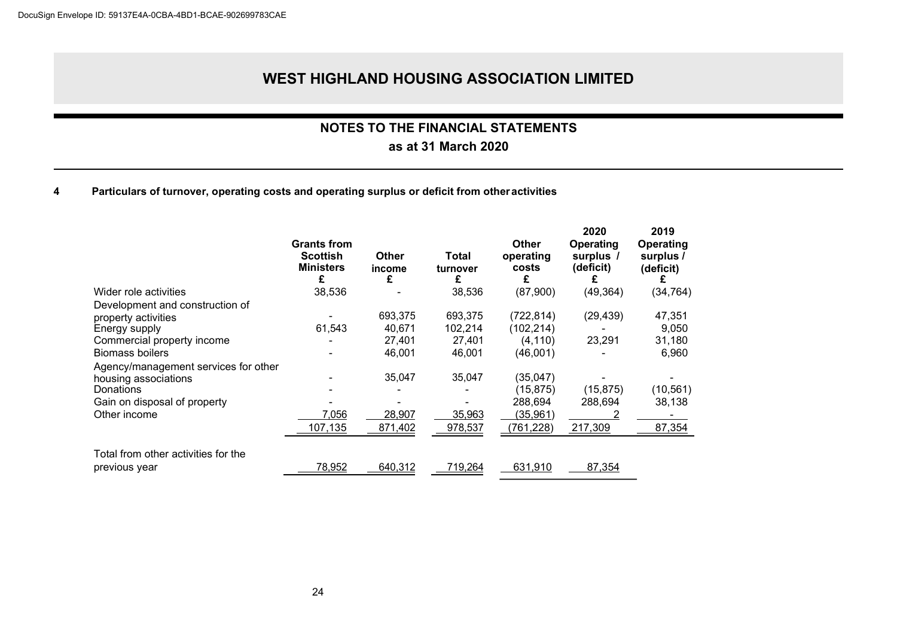### **NOTES TO THE FINANCIAL STATEMENTS**

### **as at 31 March 2020**

#### **4 Particulars of turnover, operating costs and operating surplus or deficit from otheractivities**

|                                      | <b>Grants from</b><br><b>Scottish</b><br><b>Ministers</b><br>£ | Other<br>income<br>£ | Total<br>turnover<br>£ | <b>Other</b><br>operating<br>costs<br>£ | 2020<br>Operating<br>surplus /<br>(deficit)<br>£ | 2019<br><b>Operating</b><br>surplus /<br>(deficit) |
|--------------------------------------|----------------------------------------------------------------|----------------------|------------------------|-----------------------------------------|--------------------------------------------------|----------------------------------------------------|
| Wider role activities                | 38,536                                                         |                      | 38,536                 | (87,900)                                | (49, 364)                                        | (34, 764)                                          |
| Development and construction of      |                                                                |                      |                        |                                         |                                                  |                                                    |
| property activities                  |                                                                | 693,375              | 693,375                | (722, 814)                              | (29, 439)                                        | 47,351                                             |
| Energy supply                        | 61,543                                                         | 40,671               | 102,214                | (102, 214)                              |                                                  | 9,050                                              |
| Commercial property income           |                                                                | 27,401               | 27,401                 | (4,110)                                 | 23,291                                           | 31,180                                             |
| <b>Biomass boilers</b>               |                                                                | 46,001               | 46,001                 | (46,001)                                |                                                  | 6,960                                              |
| Agency/management services for other |                                                                |                      |                        |                                         |                                                  |                                                    |
| housing associations                 |                                                                | 35,047               | 35,047                 | (35,047)                                |                                                  |                                                    |
| Donations                            |                                                                |                      |                        | (15,875)                                | (15, 875)                                        | (10, 561)                                          |
| Gain on disposal of property         |                                                                |                      |                        | 288,694                                 | 288,694                                          | 38,138                                             |
| Other income                         | 7,056                                                          | 28,907               | 35,963                 | (35, 961)                               |                                                  |                                                    |
|                                      | 107,135                                                        | 871,402              | 978,537                | (761, 228)                              | 217,309                                          | 87,354                                             |
| Total from other activities for the  |                                                                |                      |                        |                                         |                                                  |                                                    |
| previous year                        | 78,952                                                         | 640,312              | 719,264                | 631,910                                 | 87,354                                           |                                                    |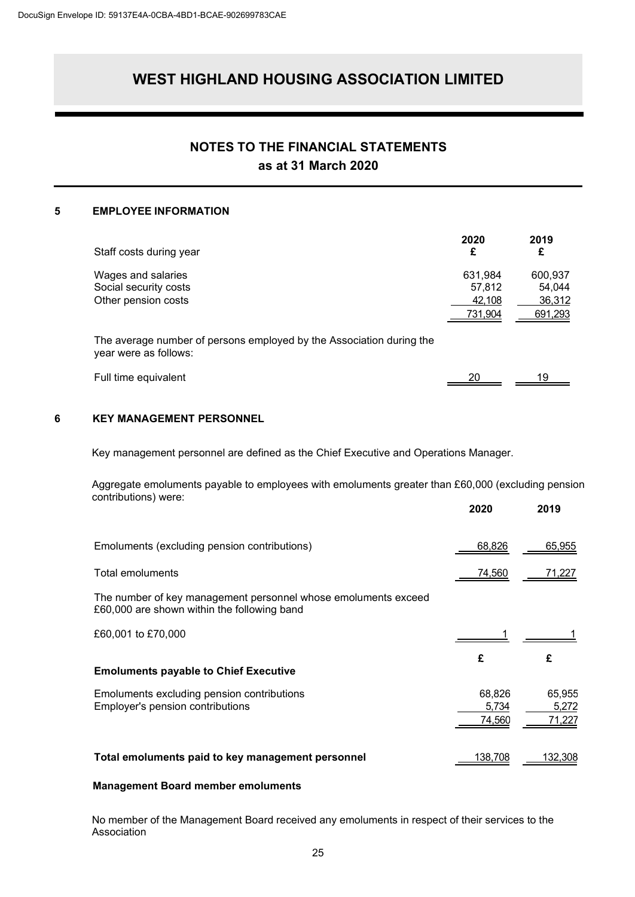### **NOTES TO THE FINANCIAL STATEMENTS as at 31 March 2020**

#### **5 EMPLOYEE INFORMATION**

| Staff costs during year                                                                       | 2020<br>£                              | 2019<br>£                              |
|-----------------------------------------------------------------------------------------------|----------------------------------------|----------------------------------------|
| Wages and salaries<br>Social security costs<br>Other pension costs                            | 631,984<br>57,812<br>42,108<br>731,904 | 600,937<br>54,044<br>36,312<br>691,293 |
| The average number of persons employed by the Association during the<br>year were as follows: |                                        |                                        |
| Full time equivalent                                                                          | 20                                     | 19                                     |

#### **6 KEY MANAGEMENT PERSONNEL**

Key management personnel are defined as the Chief Executive and Operations Manager.

Aggregate emoluments payable to employees with emoluments greater than £60,000 (excluding pension contributions) were:

|                                                                                                               | 2020                      | 2019                      |
|---------------------------------------------------------------------------------------------------------------|---------------------------|---------------------------|
| Emoluments (excluding pension contributions)                                                                  | 68,826                    | 65,955                    |
| Total emoluments                                                                                              | 74,560                    | 71,227                    |
| The number of key management personnel whose emoluments exceed<br>£60,000 are shown within the following band |                           |                           |
| £60,001 to £70,000                                                                                            |                           |                           |
| <b>Emoluments payable to Chief Executive</b>                                                                  | £                         | £                         |
| Emoluments excluding pension contributions<br>Employer's pension contributions                                | 68,826<br>5,734<br>74,560 | 65,955<br>5,272<br>71,227 |
| Total emoluments paid to key management personnel                                                             | 138.708                   | 132,308                   |

#### **Management Board member emoluments**

No member of the Management Board received any emoluments in respect of their services to the Association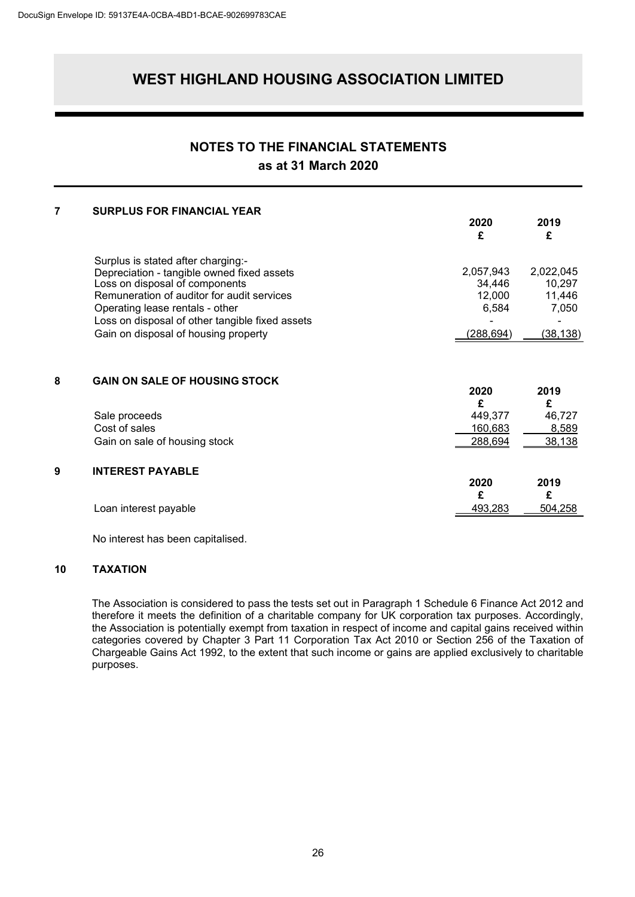# **NOTES TO THE FINANCIAL STATEMENTS**

### **as at 31 March 2020**

| <b>SURPLUS FOR FINANCIAL YEAR</b>                                                                                                                                                                                                                      | 2020<br>£                                      | 2019<br>£                              |
|--------------------------------------------------------------------------------------------------------------------------------------------------------------------------------------------------------------------------------------------------------|------------------------------------------------|----------------------------------------|
| Surplus is stated after charging:-<br>Depreciation - tangible owned fixed assets<br>Loss on disposal of components<br>Remuneration of auditor for audit services<br>Operating lease rentals - other<br>Loss on disposal of other tangible fixed assets | 2,057,943<br>34,446<br>12,000<br>6,584         | 2,022,045<br>10,297<br>11,446<br>7,050 |
| Gain on disposal of housing property                                                                                                                                                                                                                   | (288, 694)                                     | (38, 138)                              |
| <b>GAIN ON SALE OF HOUSING STOCK</b>                                                                                                                                                                                                                   | 2020                                           | 2019<br>£                              |
| Sale proceeds                                                                                                                                                                                                                                          | 449,377                                        | 46,727                                 |
|                                                                                                                                                                                                                                                        |                                                | 8,589                                  |
|                                                                                                                                                                                                                                                        |                                                | 38,138                                 |
| <b>INTEREST PAYABLE</b>                                                                                                                                                                                                                                |                                                |                                        |
|                                                                                                                                                                                                                                                        |                                                | 2019<br>£                              |
| Loan interest payable                                                                                                                                                                                                                                  | 493,283                                        | 504,258                                |
|                                                                                                                                                                                                                                                        | Cost of sales<br>Gain on sale of housing stock | £<br>160,683<br>288,694<br>2020<br>£   |

No interest has been capitalised.

#### **10 TAXATION**

The Association is considered to pass the tests set out in Paragraph 1 Schedule 6 Finance Act 2012 and therefore it meets the definition of a charitable company for UK corporation tax purposes. Accordingly, the Association is potentially exempt from taxation in respect of income and capital gains received within categories covered by Chapter 3 Part 11 Corporation Tax Act 2010 or Section 256 of the Taxation of Chargeable Gains Act 1992, to the extent that such income or gains are applied exclusively to charitable purposes.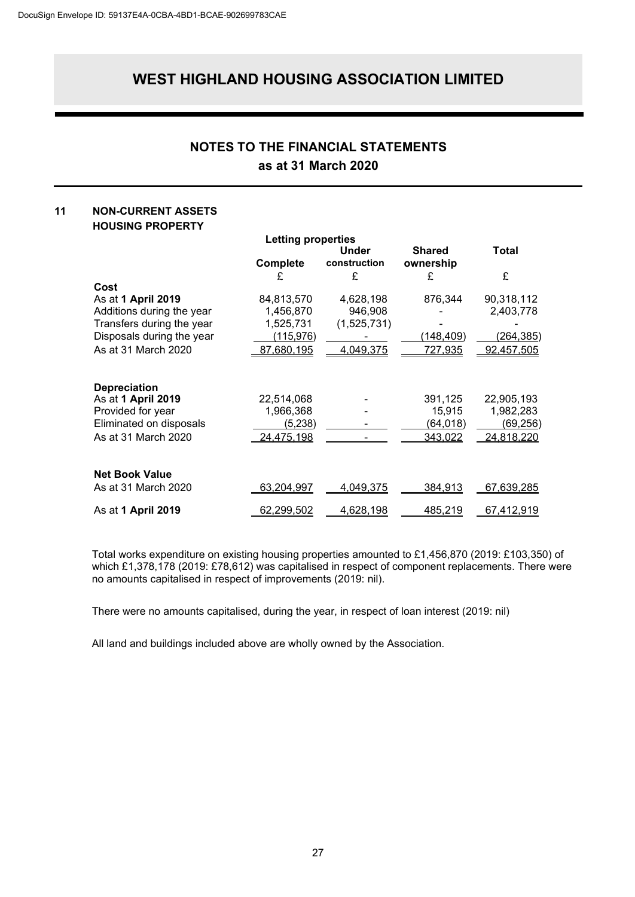### **NOTES TO THE FINANCIAL STATEMENTS as at 31 March 2020**

#### **11 NON-CURRENT ASSETS HOUSING PROPERTY**

|                           | Letting properties |                  |                 |                   |
|---------------------------|--------------------|------------------|-----------------|-------------------|
|                           |                    | Under            | <b>Shared</b>   | Total             |
|                           | <b>Complete</b>    | construction     | ownership       |                   |
|                           | £                  | £                | £               | £                 |
| Cost                      |                    |                  |                 |                   |
| As at 1 April 2019        | 84,813,570         | 4,628,198        | 876,344         | 90,318,112        |
| Additions during the year | 1,456,870          | 946,908          |                 | 2,403,778         |
| Transfers during the year | 1,525,731          | (1,525,731)      |                 |                   |
| Disposals during the year | <u>(115,976)</u>   |                  | (148,409)       | (264,385)         |
| As at 31 March 2020       | 87,680,195         | 4,049,375        | 727,935         | 92,457,505        |
|                           |                    |                  |                 |                   |
| <b>Depreciation</b>       |                    |                  |                 |                   |
| As at 1 April 2019        | 22,514,068         |                  | 391,125         | 22,905,193        |
| Provided for year         | 1,966,368          |                  | 15,915          | 1,982,283         |
| Eliminated on disposals   | (5, 238)           |                  | <u>(64,018)</u> | <u>(69,256)</u>   |
| As at 31 March 2020       | 24,475,198         |                  | 343,022         | 24,818,220        |
|                           |                    |                  |                 |                   |
| <b>Net Book Value</b>     |                    |                  |                 |                   |
| As at 31 March 2020       | 63,204,997         | <u>4,049,375</u> | 384,913         | <u>67,639,285</u> |
| As at 1 April 2019        | <u>62,299,502</u>  | <u>4,628,198</u> | <u>485,219</u>  | 67,412,919        |

Total works expenditure on existing housing properties amounted to £1,456,870 (2019: £103,350) of which £1,378,178 (2019: £78,612) was capitalised in respect of component replacements. There were no amounts capitalised in respect of improvements (2019: nil).

There were no amounts capitalised, during the year, in respect of loan interest (2019: nil)

All land and buildings included above are wholly owned by the Association.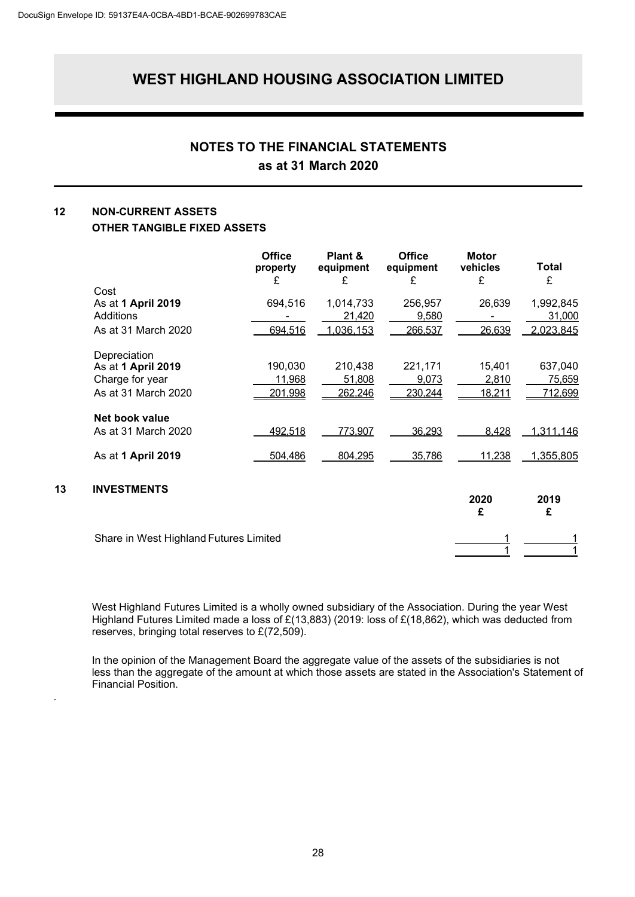### **NOTES TO THE FINANCIAL STATEMENTS as at 31 March 2020**

#### **12 NON-CURRENT ASSETS OTHER TANGIBLE FIXED ASSETS**

.

|    |                                        | <b>Office</b><br>property<br>£ | Plant &<br>equipment<br>£ | <b>Office</b><br>equipment<br>£ | <b>Motor</b><br>vehicles<br>£ | <b>Total</b><br>£ |
|----|----------------------------------------|--------------------------------|---------------------------|---------------------------------|-------------------------------|-------------------|
|    | Cost                                   |                                |                           |                                 |                               |                   |
|    | As at 1 April 2019                     | 694,516                        | 1,014,733                 | 256,957                         | 26,639                        | 1,992,845         |
|    | Additions                              |                                | 21,420                    | 9,580                           |                               | 31,000            |
|    | As at 31 March 2020                    | 694,516                        | 1,036,153                 | 266,537                         | 26,639                        | 2,023,845         |
|    | Depreciation                           |                                |                           |                                 |                               |                   |
|    | As at 1 April 2019                     | 190,030                        | 210,438                   | 221,171                         | 15,401                        | 637,040           |
|    | Charge for year                        | 11,968                         | 51,808                    | 9,073                           | 2,810                         | 75,659            |
|    | As at 31 March 2020                    | 201,998                        | 262,246                   | 230,244                         | 18,211                        | 712,699           |
|    | Net book value                         |                                |                           |                                 |                               |                   |
|    | As at 31 March 2020                    | 492,518                        | 773,907                   | 36,293                          | 8,428                         | 1,311,146         |
|    | As at 1 April 2019                     | 504,486                        | 804,295                   | 35,786                          | 11,238                        | 1,355,805         |
| 13 | <b>INVESTMENTS</b>                     |                                |                           |                                 |                               |                   |
|    |                                        |                                |                           |                                 | 2020<br>£                     | 2019<br>£         |
|    | Share in West Highland Futures Limited |                                |                           |                                 |                               |                   |
|    |                                        |                                |                           |                                 |                               |                   |

West Highland Futures Limited is a wholly owned subsidiary of the Association. During the year West Highland Futures Limited made a loss of £(13,883) (2019: loss of £(18,862), which was deducted from reserves, bringing total reserves to £(72,509).

In the opinion of the Management Board the aggregate value of the assets of the subsidiaries is not less than the aggregate of the amount at which those assets are stated in the Association's Statement of Financial Position.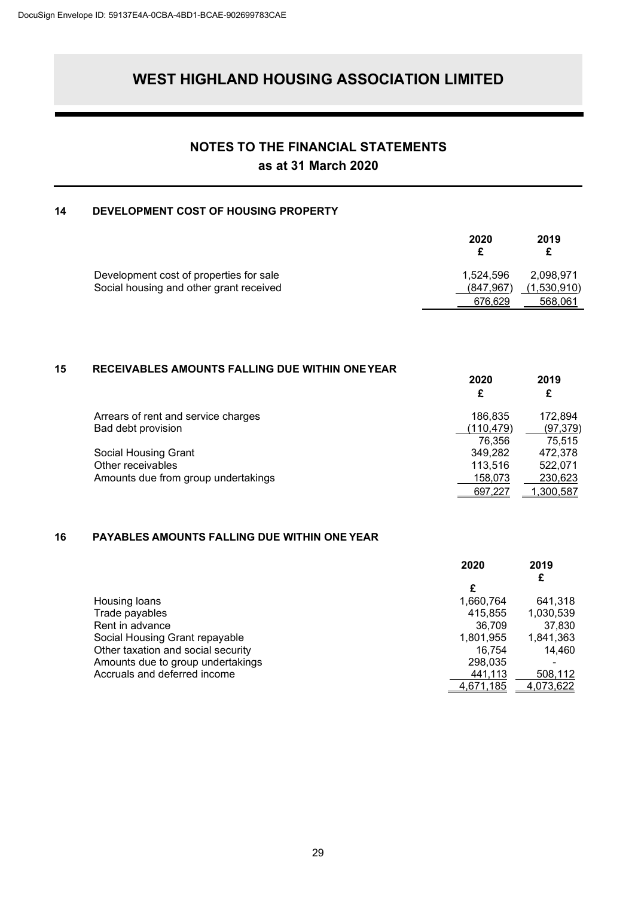### **NOTES TO THE FINANCIAL STATEMENTS as at 31 March 2020**

#### **14 DEVELOPMENT COST OF HOUSING PROPERTY**

|                                         | 2020       | 2019<br>£   |
|-----------------------------------------|------------|-------------|
| Development cost of properties for sale | 1.524.596  | 2.098.971   |
| Social housing and other grant received | (847, 967) | (1,530,910) |
|                                         | 676.629    | 568.061     |

#### **15 RECEIVABLES AMOUNTS FALLING DUE WITHIN ONEYEAR**

| Arrears of rent and service charges | 186.835   | 172.894          |
|-------------------------------------|-----------|------------------|
| Bad debt provision                  | (110.479) | (97, 379)        |
|                                     | 76,356    | 75.515           |
| Social Housing Grant                | 349.282   | 472.378          |
| Other receivables                   | 113,516   | 522.071          |
| Amounts due from group undertakings | 158.073   | 230,623          |
|                                     | 697.227   | <u>1,300,587</u> |

**2020 2019**

#### **16 PAYABLES AMOUNTS FALLING DUE WITHIN ONE YEAR**

|                                    | 2020             | 2019      |
|------------------------------------|------------------|-----------|
|                                    |                  | £         |
|                                    | £                |           |
| Housing loans                      | 1,660,764        | 641,318   |
| Trade payables                     | 415,855          | 1,030,539 |
| Rent in advance                    | 36.709           | 37,830    |
| Social Housing Grant repayable     | 1,801,955        | 1,841,363 |
| Other taxation and social security | 16.754           | 14,460    |
| Amounts due to group undertakings  | 298,035          |           |
| Accruals and deferred income       | 441,113          | 508,112   |
|                                    | <u>4,671,185</u> | 4,073,622 |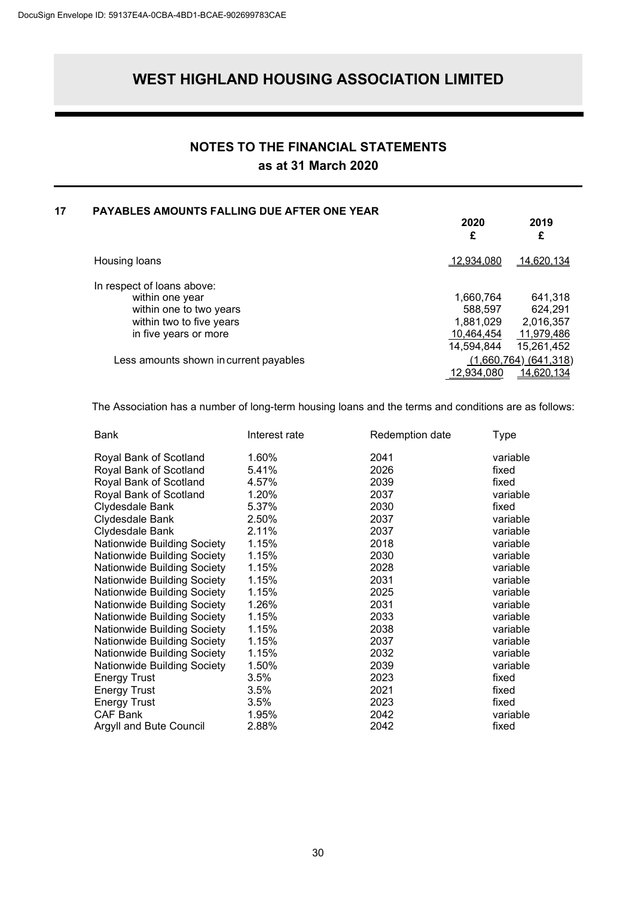### **NOTES TO THE FINANCIAL STATEMENTS as at 31 March 2020**

#### **17 PAYABLES AMOUNTS FALLING DUE AFTER ONE YEAR**

| 2020       | 2019<br>£                 |
|------------|---------------------------|
| 12,934,080 | <u>14,620,134</u>         |
|            |                           |
| 1,660,764  | 641,318                   |
| 588,597    | 624,291                   |
| 1,881,029  | 2,016,357                 |
| 10,464,454 | 11,979,486                |
| 14,594,844 | 15,261,452                |
|            | $(1,660,764)$ $(641,318)$ |
| 12,934,080 | 14,620,134                |
|            |                           |

The Association has a number of long-term housing loans and the terms and conditions are as follows:

| Bank                        | Interest rate | Redemption date | Type     |
|-----------------------------|---------------|-----------------|----------|
| Royal Bank of Scotland      | 1.60%         | 2041            | variable |
| Royal Bank of Scotland      | 5.41%         | 2026            | fixed    |
| Royal Bank of Scotland      | 4.57%         | 2039            | fixed    |
| Royal Bank of Scotland      | 1.20%         | 2037            | variable |
| Clydesdale Bank             | 5.37%         | 2030            | fixed    |
| Clydesdale Bank             | 2.50%         | 2037            | variable |
| Clydesdale Bank             | 2.11%         | 2037            | variable |
| Nationwide Building Society | 1.15%         | 2018            | variable |
| Nationwide Building Society | 1.15%         | 2030            | variable |
| Nationwide Building Society | 1.15%         | 2028            | variable |
| Nationwide Building Society | 1.15%         | 2031            | variable |
| Nationwide Building Society | 1.15%         | 2025            | variable |
| Nationwide Building Society | 1.26%         | 2031            | variable |
| Nationwide Building Society | 1.15%         | 2033            | variable |
| Nationwide Building Society | 1.15%         | 2038            | variable |
| Nationwide Building Society | 1.15%         | 2037            | variable |
| Nationwide Building Society | 1.15%         | 2032            | variable |
| Nationwide Building Society | 1.50%         | 2039            | variable |
| <b>Energy Trust</b>         | 3.5%          | 2023            | fixed    |
| <b>Energy Trust</b>         | 3.5%          | 2021            | fixed    |
| <b>Energy Trust</b>         | 3.5%          | 2023            | fixed    |
| <b>CAF Bank</b>             | 1.95%         | 2042            | variable |
| Argyll and Bute Council     | 2.88%         | 2042            | fixed    |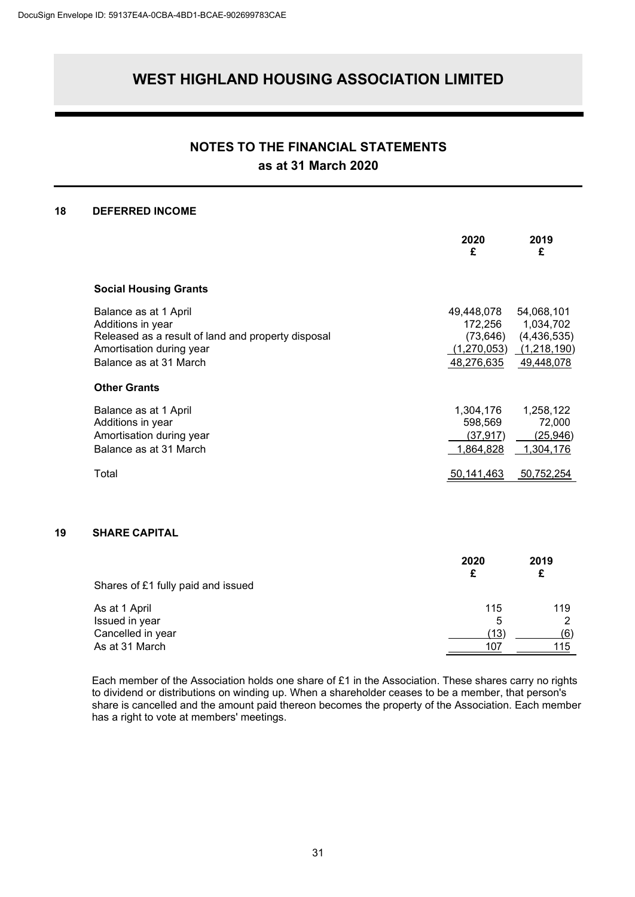### **NOTES TO THE FINANCIAL STATEMENTS as at 31 March 2020**

#### **18 DEFERRED INCOME**

|                                                                                                                                                        | 2020<br>£                                                       | 2019<br>£                                                           |
|--------------------------------------------------------------------------------------------------------------------------------------------------------|-----------------------------------------------------------------|---------------------------------------------------------------------|
| <b>Social Housing Grants</b>                                                                                                                           |                                                                 |                                                                     |
| Balance as at 1 April<br>Additions in year<br>Released as a result of land and property disposal<br>Amortisation during year<br>Balance as at 31 March | 49,448,078<br>172,256<br>(73, 646)<br>(1,270,053)<br>48,276,635 | 54,068,101<br>1,034,702<br>(4,436,535)<br>(1,218,190)<br>49,448,078 |
| <b>Other Grants</b>                                                                                                                                    |                                                                 |                                                                     |
| Balance as at 1 April<br>Additions in year<br>Amortisation during year<br>Balance as at 31 March                                                       | 1,304,176<br>598,569<br>(37,917)<br>1,864,828                   | 1,258,122<br>72,000<br>(25, 946)<br>1,304,176                       |
| Total                                                                                                                                                  | 50,141,463                                                      | 50,752,254                                                          |

#### **19 SHARE CAPITAL**

|                                    | 2020<br>£ | 2019 |
|------------------------------------|-----------|------|
| Shares of £1 fully paid and issued |           |      |
| As at 1 April                      | 115       | 119  |
| Issued in year                     | 5         |      |
| Cancelled in year                  | (13)      | (6)  |
| As at 31 March                     | 107       | 115  |

Each member of the Association holds one share of £1 in the Association. These shares carry no rights to dividend or distributions on winding up. When a shareholder ceases to be a member, that person's share is cancelled and the amount paid thereon becomes the property of the Association. Each member has a right to vote at members' meetings.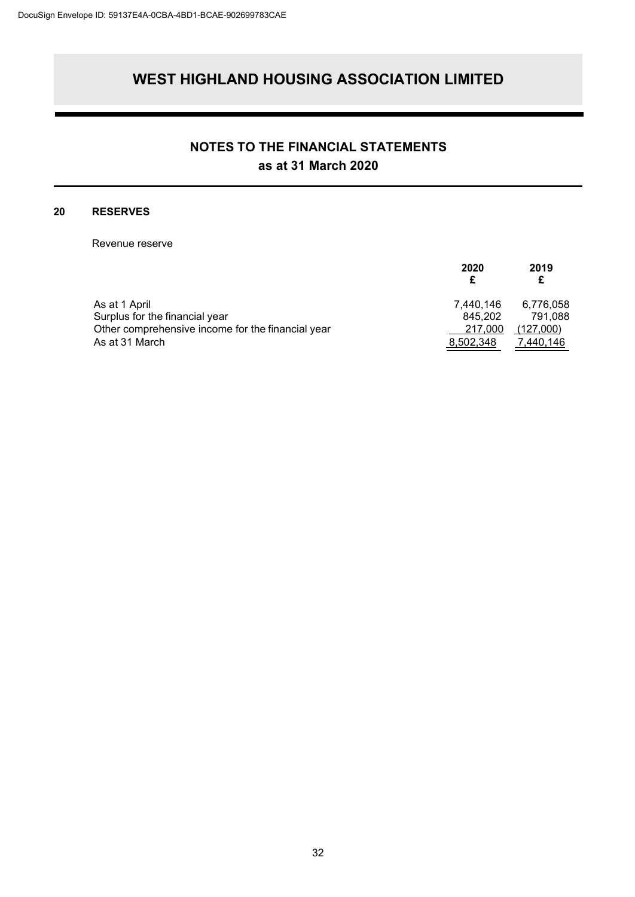### **NOTES TO THE FINANCIAL STATEMENTS as at 31 March 2020**

#### **20 RESERVES**

Revenue reserve

|                                                   | 2020                 | 2019<br>£            |
|---------------------------------------------------|----------------------|----------------------|
| As at 1 April<br>Surplus for the financial year   | 7,440,146<br>845.202 | 6,776,058<br>791.088 |
| Other comprehensive income for the financial year | 217,000              | (127,000)            |
| As at 31 March                                    | 8,502,348            | 7.440.146            |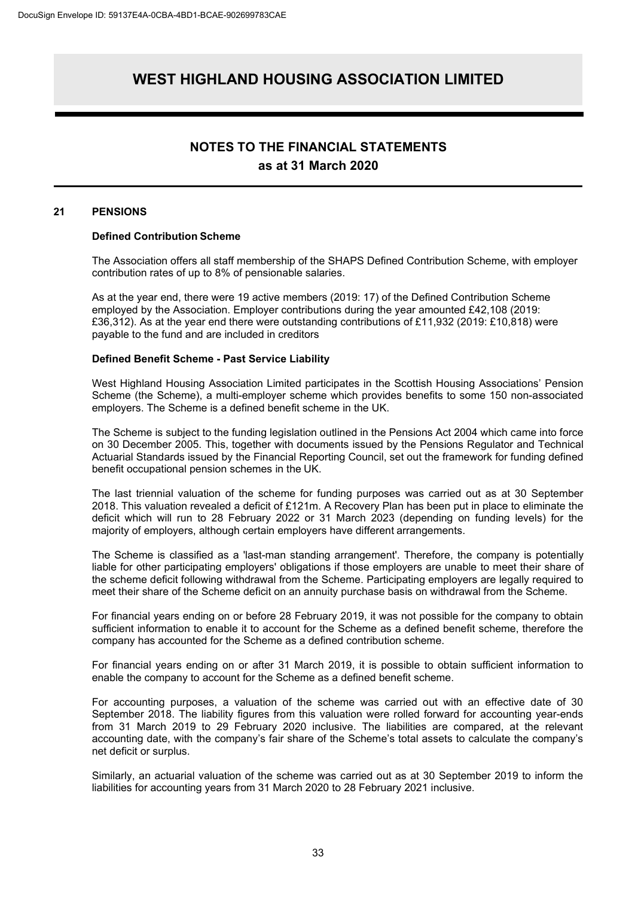#### **NOTES TO THE FINANCIAL STATEMENTS as at 31 March 2020**

#### **21 PENSIONS**

#### **Defined Contribution Scheme**

The Association offers all staff membership of the SHAPS Defined Contribution Scheme, with employer contribution rates of up to 8% of pensionable salaries.

As at the year end, there were 19 active members (2019: 17) of the Defined Contribution Scheme employed by the Association. Employer contributions during the year amounted £42,108 (2019: £36,312). As at the year end there were outstanding contributions of £11,932 (2019: £10,818) were payable to the fund and are included in creditors

#### **Defined Benefit Scheme - Past Service Liability**

West Highland Housing Association Limited participates in the Scottish Housing Associations' Pension Scheme (the Scheme), a multi-employer scheme which provides benefits to some 150 non-associated employers. The Scheme is a defined benefit scheme in the UK.

The Scheme is subject to the funding legislation outlined in the Pensions Act 2004 which came into force on 30 December 2005. This, together with documents issued by the Pensions Regulator and Technical Actuarial Standards issued by the Financial Reporting Council, set out the framework for funding defined benefit occupational pension schemes in the UK.

The last triennial valuation of the scheme for funding purposes was carried out as at 30 September 2018. This valuation revealed a deficit of £121m. A Recovery Plan has been put in place to eliminate the deficit which will run to 28 February 2022 or 31 March 2023 (depending on funding levels) for the majority of employers, although certain employers have different arrangements.

The Scheme is classified as a 'last-man standing arrangement'. Therefore, the company is potentially liable for other participating employers' obligations if those employers are unable to meet their share of the scheme deficit following withdrawal from the Scheme. Participating employers are legally required to meet their share of the Scheme deficit on an annuity purchase basis on withdrawal from the Scheme.

For financial years ending on or before 28 February 2019, it was not possible for the company to obtain sufficient information to enable it to account for the Scheme as a defined benefit scheme, therefore the company has accounted for the Scheme as a defined contribution scheme.

For financial years ending on or after 31 March 2019, it is possible to obtain sufficient information to enable the company to account for the Scheme as a defined benefit scheme.

For accounting purposes, a valuation of the scheme was carried out with an effective date of 30 September 2018. The liability figures from this valuation were rolled forward for accounting year-ends from 31 March 2019 to 29 February 2020 inclusive. The liabilities are compared, at the relevant accounting date, with the company's fair share of the Scheme's total assets to calculate the company's net deficit or surplus.

Similarly, an actuarial valuation of the scheme was carried out as at 30 September 2019 to inform the liabilities for accounting years from 31 March 2020 to 28 February 2021 inclusive.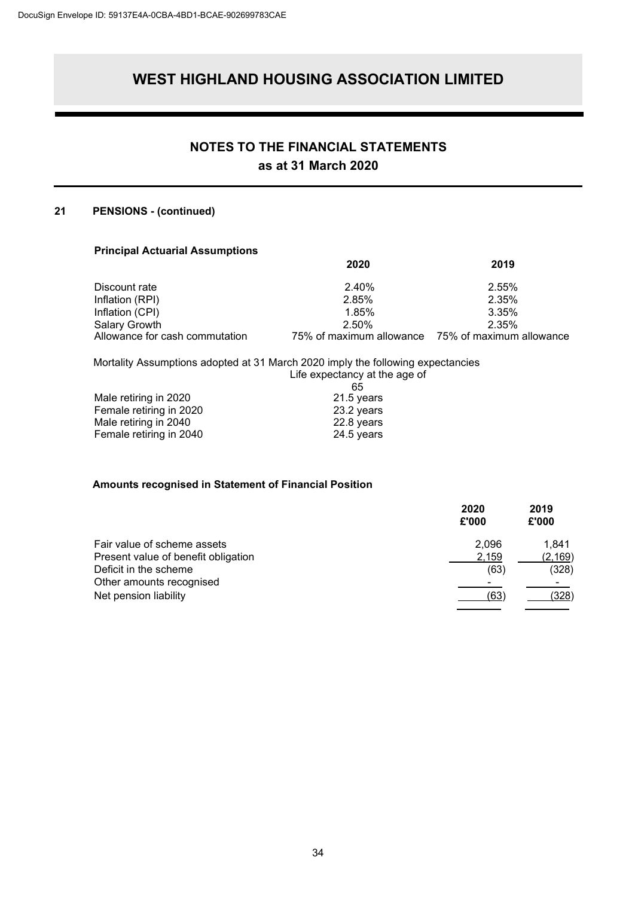### **NOTES TO THE FINANCIAL STATEMENTS as at 31 March 2020**

#### **21 PENSIONS - (continued)**

#### **Principal Actuarial Assumptions**

|                                                 | 2020                              | 2019                              |
|-------------------------------------------------|-----------------------------------|-----------------------------------|
| Discount rate                                   | 2.40%                             | 2.55%                             |
| Inflation (RPI)                                 | 2.85%                             | 2.35%                             |
| Inflation (CPI)                                 | 1.85%                             | 3.35%                             |
| Salary Growth<br>Allowance for cash commutation | 2.50%<br>75% of maximum allowance | 2.35%<br>75% of maximum allowance |
|                                                 |                                   |                                   |

#### Mortality Assumptions adopted at 31 March 2020 imply the following expectancies Life expectancy at the age of

| 65         |
|------------|
| 21.5 years |
| 23.2 years |
| 22.8 years |
| 24.5 years |
|            |

#### **Amounts recognised in Statement of Financial Position**

| 2020<br>£'000 | 2019<br>£'000 |
|---------------|---------------|
| 2.096         | 1,841         |
| 2,159         | (2, 169)      |
| (63)          | (328)         |
|               |               |
| (63)          | (328)         |
|               |               |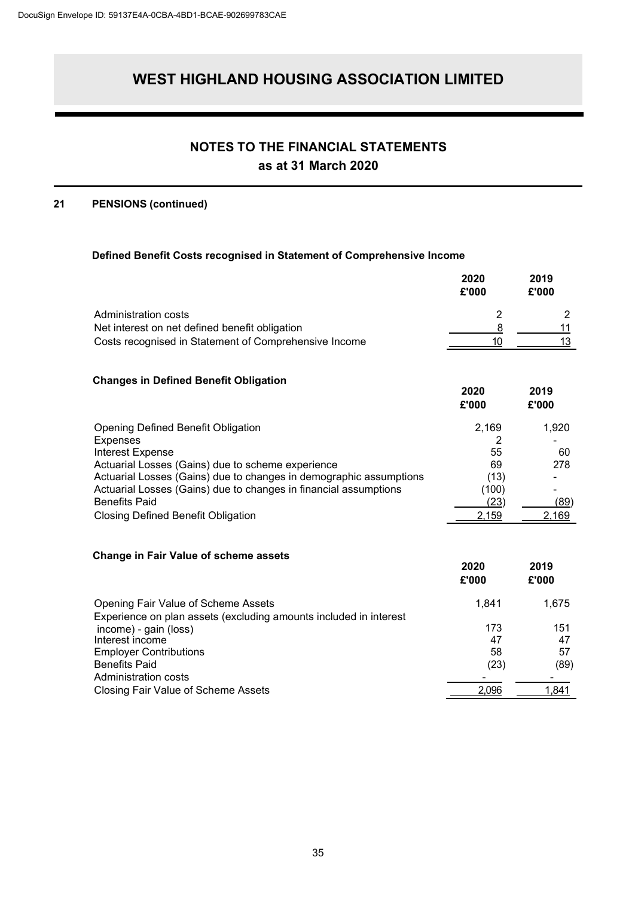### **NOTES TO THE FINANCIAL STATEMENTS as at 31 March 2020**

#### **21 PENSIONS (continued)**

#### **Defined Benefit Costs recognised in Statement of Comprehensive Income**

|                                                                                                                                        | 2020<br>£'000 | 2019<br>£'000  |
|----------------------------------------------------------------------------------------------------------------------------------------|---------------|----------------|
| Administration costs                                                                                                                   | 2             | $\overline{2}$ |
| Net interest on net defined benefit obligation                                                                                         | 8             | 11             |
| Costs recognised in Statement of Comprehensive Income                                                                                  | 10            | 13             |
|                                                                                                                                        |               |                |
| <b>Changes in Defined Benefit Obligation</b>                                                                                           |               |                |
|                                                                                                                                        | 2020<br>£'000 | 2019<br>£'000  |
| <b>Opening Defined Benefit Obligation</b>                                                                                              | 2,169         | 1,920          |
| <b>Expenses</b>                                                                                                                        | 2             |                |
| <b>Interest Expense</b>                                                                                                                | 55            | 60             |
| Actuarial Losses (Gains) due to scheme experience                                                                                      | 69            | 278            |
| Actuarial Losses (Gains) due to changes in demographic assumptions<br>Actuarial Losses (Gains) due to changes in financial assumptions | (13)<br>(100) |                |
| <b>Benefits Paid</b>                                                                                                                   | (23)          | (89)           |
| <b>Closing Defined Benefit Obligation</b>                                                                                              | 2,159         | 2,169          |
|                                                                                                                                        |               |                |
| <b>Change in Fair Value of scheme assets</b>                                                                                           |               |                |
|                                                                                                                                        | 2020          | 2019           |
|                                                                                                                                        | £'000         | £'000          |
| Opening Fair Value of Scheme Assets                                                                                                    | 1,841         | 1,675          |
| Experience on plan assets (excluding amounts included in interest                                                                      |               |                |
| income) - gain (loss)                                                                                                                  | 173           | 151            |
| Interest income                                                                                                                        | 47<br>58      | 47<br>57       |
| <b>Employer Contributions</b><br><b>Benefits Paid</b>                                                                                  | (23)          | (89)           |
| Administration costs                                                                                                                   |               |                |
| <b>Closing Fair Value of Scheme Assets</b>                                                                                             | 2,096         | 1,841          |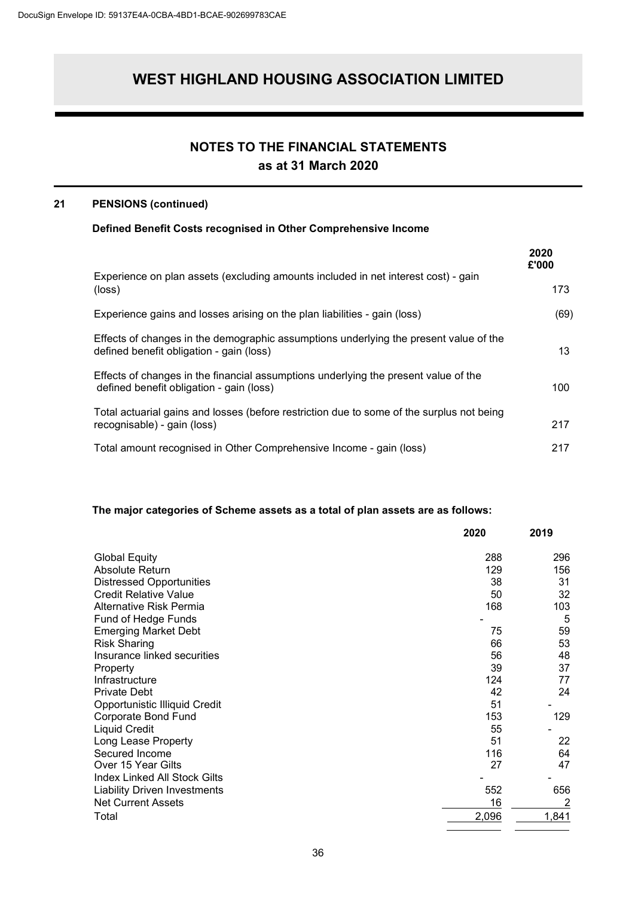# **NOTES TO THE FINANCIAL STATEMENTS**

### **as at 31 March 2020**

#### **21 PENSIONS (continued)**

#### **Defined Benefit Costs recognised in Other Comprehensive Income**

|                                                                                                                                   | 2020<br>£'000 |
|-----------------------------------------------------------------------------------------------------------------------------------|---------------|
| Experience on plan assets (excluding amounts included in net interest cost) - gain<br>(loss)                                      | 173           |
| Experience gains and losses arising on the plan liabilities - gain (loss)                                                         | (69)          |
| Effects of changes in the demographic assumptions underlying the present value of the<br>defined benefit obligation - gain (loss) | 13            |
| Effects of changes in the financial assumptions underlying the present value of the<br>defined benefit obligation - gain (loss)   | 100           |
| Total actuarial gains and losses (before restriction due to some of the surplus not being<br>recognisable) - gain (loss)          | 217           |
| Total amount recognised in Other Comprehensive Income - gain (loss)                                                               | 217           |

#### **The major categories of Scheme assets as a total of plan assets are as follows:**

|                                     | 2020  | 2019  |
|-------------------------------------|-------|-------|
| <b>Global Equity</b>                | 288   | 296   |
| Absolute Return                     | 129   | 156   |
| <b>Distressed Opportunities</b>     | 38    | 31    |
| <b>Credit Relative Value</b>        | 50    | 32    |
| Alternative Risk Permia             | 168   | 103   |
| Fund of Hedge Funds                 |       | 5     |
| <b>Emerging Market Debt</b>         | 75    | 59    |
| <b>Risk Sharing</b>                 | 66    | 53    |
| Insurance linked securities         | 56    | 48    |
| Property                            | 39    | 37    |
| Infrastructure                      | 124   | 77    |
| <b>Private Debt</b>                 | 42    | 24    |
| Opportunistic Illiquid Credit       | 51    |       |
| Corporate Bond Fund                 | 153   | 129   |
| <b>Liquid Credit</b>                | 55    |       |
| Long Lease Property                 | 51    | 22    |
| Secured Income                      | 116   | 64    |
| Over 15 Year Gilts                  | 27    | 47    |
| <b>Index Linked All Stock Gilts</b> |       |       |
| <b>Liability Driven Investments</b> | 552   | 656   |
| <b>Net Current Assets</b>           | 16    |       |
| Total                               | 2,096 | 1,841 |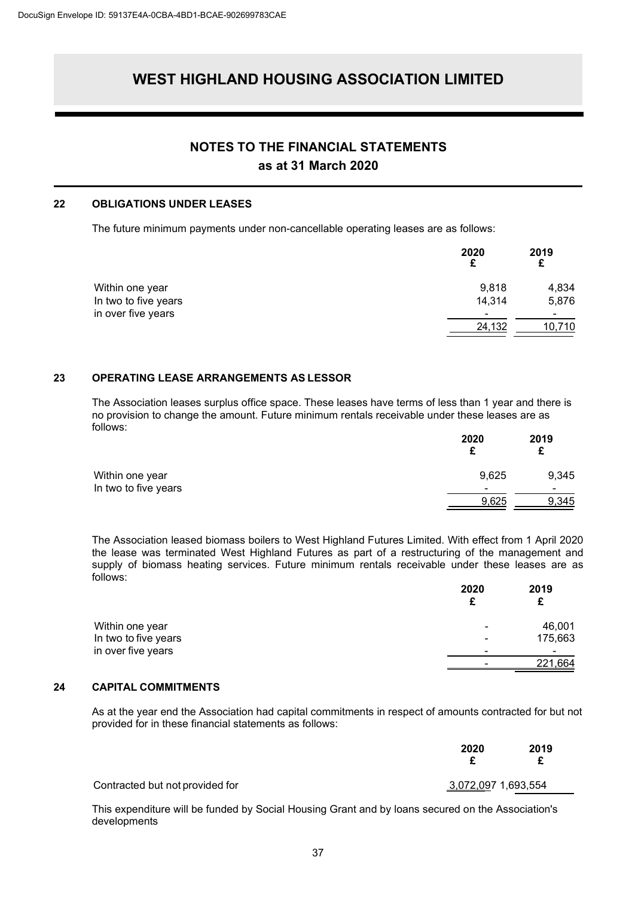### **NOTES TO THE FINANCIAL STATEMENTS**

**as at 31 March 2020**

#### **22 OBLIGATIONS UNDER LEASES**

The future minimum payments under non-cancellable operating leases are as follows:

|                      | 2020                     | 2019   |
|----------------------|--------------------------|--------|
| Within one year      | 9,818                    | 4,834  |
| In two to five years | 14,314                   | 5,876  |
| in over five years   | $\overline{\phantom{0}}$ | -      |
|                      | 24,132                   | 10,710 |

#### **23 OPERATING LEASE ARRANGEMENTS AS LESSOR**

The Association leases surplus office space. These leases have terms of less than 1 year and there is no provision to change the amount. Future minimum rentals receivable under these leases are as follows:

|                      | 2020                     | 2019  |
|----------------------|--------------------------|-------|
| Within one year      | 9,625                    | 9,345 |
| In two to five years | $\overline{\phantom{0}}$ | -     |
|                      | 9,625                    | 9,345 |

The Association leased biomass boilers to West Highland Futures Limited. With effect from 1 April 2020 the lease was terminated West Highland Futures as part of a restructuring of the management and supply of biomass heating services. Future minimum rentals receivable under these leases are as follows:

|                      | 2020                     | 2019    |
|----------------------|--------------------------|---------|
| Within one year      | $\blacksquare$           | 46,001  |
| In two to five years | $\overline{\phantom{a}}$ | 175,663 |
| in over five years   |                          | -       |
|                      | -                        | 221,664 |

#### **24 CAPITAL COMMITMENTS**

As at the year end the Association had capital commitments in respect of amounts contracted for but not provided for in these financial statements as follows:

|                                 | 2020                | 2019 |  |
|---------------------------------|---------------------|------|--|
| Contracted but not provided for | 3,072,097 1,693,554 |      |  |

This expenditure will be funded by Social Housing Grant and by loans secured on the Association's developments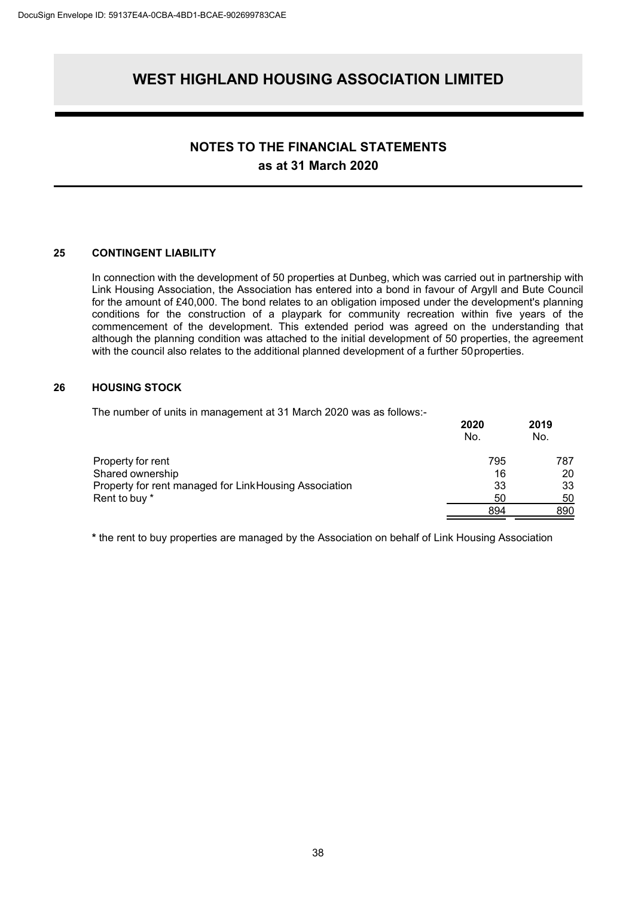### **NOTES TO THE FINANCIAL STATEMENTS as at 31 March 2020**

#### **25 CONTINGENT LIABILITY**

In connection with the development of 50 properties at Dunbeg, which was carried out in partnership with Link Housing Association, the Association has entered into a bond in favour of Argyll and Bute Council for the amount of £40,000. The bond relates to an obligation imposed under the development's planning conditions for the construction of a playpark for community recreation within five years of the commencement of the development. This extended period was agreed on the understanding that although the planning condition was attached to the initial development of 50 properties, the agreement with the council also relates to the additional planned development of a further 50properties.

#### **26 HOUSING STOCK**

The number of units in management at 31 March 2020 was as follows:-

|                                                        | 2020<br>No. | 2019<br>No. |
|--------------------------------------------------------|-------------|-------------|
| Property for rent                                      | 795         | 787         |
| Shared ownership                                       | 16          | 20          |
| Property for rent managed for Link Housing Association | 33          | 33          |
| Rent to buy *                                          | 50          | 50          |
|                                                        | 894         | 890         |

**\*** the rent to buy properties are managed by the Association on behalf of Link Housing Association